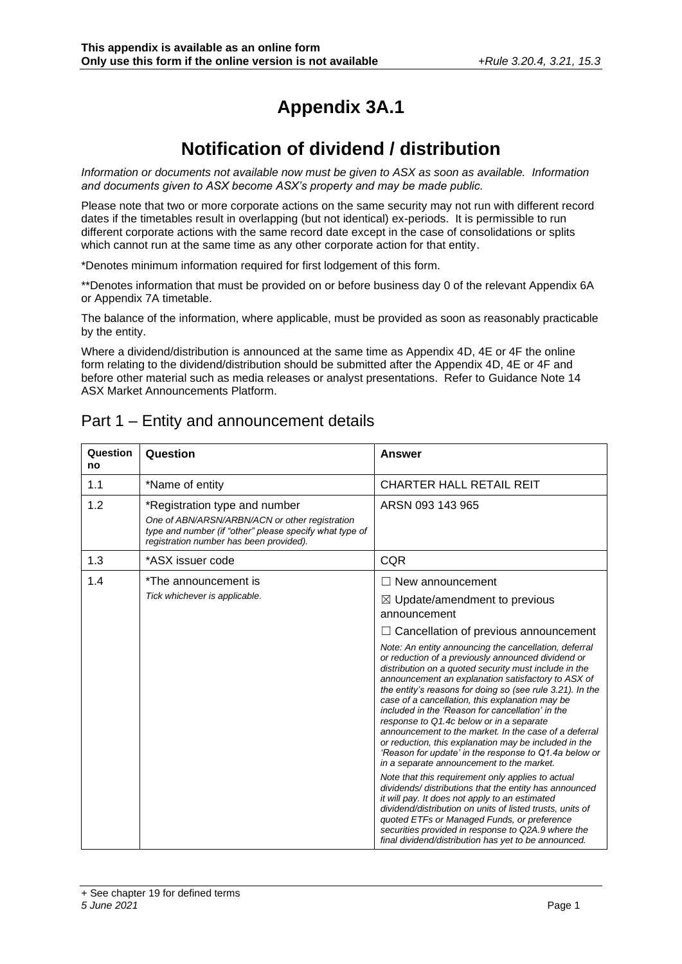# **Appendix 3A.1**

# **Notification of dividend / distribution**

*Information or documents not available now must be given to ASX as soon as available. Information and documents given to ASX become ASX's property and may be made public.*

Please note that two or more corporate actions on the same security may not run with different record dates if the timetables result in overlapping (but not identical) ex-periods. It is permissible to run different corporate actions with the same record date except in the case of consolidations or splits which cannot run at the same time as any other corporate action for that entity.

\*Denotes minimum information required for first lodgement of this form.

\*\*Denotes information that must be provided on or before business day 0 of the relevant Appendix 6A or Appendix 7A timetable.

The balance of the information, where applicable, must be provided as soon as reasonably practicable by the entity.

Where a dividend/distribution is announced at the same time as Appendix 4D, 4E or 4F the online form relating to the dividend/distribution should be submitted after the Appendix 4D, 4E or 4F and before other material such as media releases or analyst presentations. Refer to Guidance Note 14 ASX Market Announcements Platform.

#### Part 1 – Entity and announcement details

| Question<br>no | Question                                                                                                                                                                              | Answer                                                                                                                                                                                                                                                                                                                                                                                                                                                                                                                                                                                                                                                                                                                                                                                                                                                                                                                                                                                                                                                                                                                       |
|----------------|---------------------------------------------------------------------------------------------------------------------------------------------------------------------------------------|------------------------------------------------------------------------------------------------------------------------------------------------------------------------------------------------------------------------------------------------------------------------------------------------------------------------------------------------------------------------------------------------------------------------------------------------------------------------------------------------------------------------------------------------------------------------------------------------------------------------------------------------------------------------------------------------------------------------------------------------------------------------------------------------------------------------------------------------------------------------------------------------------------------------------------------------------------------------------------------------------------------------------------------------------------------------------------------------------------------------------|
| 1.1            | *Name of entity                                                                                                                                                                       | <b>CHARTER HALL RETAIL REIT</b>                                                                                                                                                                                                                                                                                                                                                                                                                                                                                                                                                                                                                                                                                                                                                                                                                                                                                                                                                                                                                                                                                              |
| 1.2            | *Registration type and number<br>One of ABN/ARSN/ARBN/ACN or other registration<br>type and number (if "other" please specify what type of<br>registration number has been provided). | ARSN 093 143 965                                                                                                                                                                                                                                                                                                                                                                                                                                                                                                                                                                                                                                                                                                                                                                                                                                                                                                                                                                                                                                                                                                             |
| 1.3            | *ASX issuer code                                                                                                                                                                      | <b>CQR</b>                                                                                                                                                                                                                                                                                                                                                                                                                                                                                                                                                                                                                                                                                                                                                                                                                                                                                                                                                                                                                                                                                                                   |
| 1.4            | *The announcement is<br>Tick whichever is applicable.                                                                                                                                 | $\Box$ New announcement<br>$\boxtimes$ Update/amendment to previous                                                                                                                                                                                                                                                                                                                                                                                                                                                                                                                                                                                                                                                                                                                                                                                                                                                                                                                                                                                                                                                          |
|                |                                                                                                                                                                                       | announcement<br>$\Box$ Cancellation of previous announcement<br>Note: An entity announcing the cancellation, deferral<br>or reduction of a previously announced dividend or<br>distribution on a quoted security must include in the<br>announcement an explanation satisfactory to ASX of<br>the entity's reasons for doing so (see rule 3.21). In the<br>case of a cancellation, this explanation may be<br>included in the 'Reason for cancellation' in the<br>response to Q1.4c below or in a separate<br>announcement to the market. In the case of a deferral<br>or reduction, this explanation may be included in the<br>'Reason for update' in the response to Q1.4a below or<br>in a separate announcement to the market.<br>Note that this requirement only applies to actual<br>dividends/distributions that the entity has announced<br>it will pay. It does not apply to an estimated<br>dividend/distribution on units of listed trusts, units of<br>quoted ETFs or Managed Funds, or preference<br>securities provided in response to Q2A.9 where the<br>final dividend/distribution has yet to be announced. |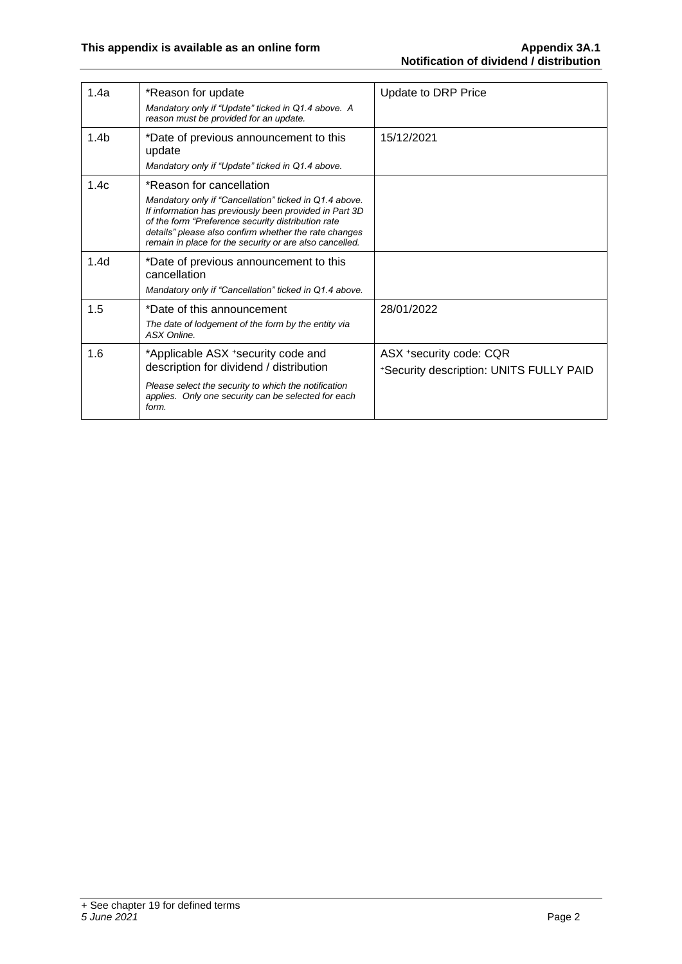| 1.4a             | *Reason for update<br>Mandatory only if "Update" ticked in Q1.4 above. A<br>reason must be provided for an update.                                                                                                                                                                                                     | Update to DRP Price                                                |
|------------------|------------------------------------------------------------------------------------------------------------------------------------------------------------------------------------------------------------------------------------------------------------------------------------------------------------------------|--------------------------------------------------------------------|
| 1.4 <sub>b</sub> | *Date of previous announcement to this<br>update<br>Mandatory only if "Update" ticked in Q1.4 above.                                                                                                                                                                                                                   | 15/12/2021                                                         |
| 1.4c             | *Reason for cancellation<br>Mandatory only if "Cancellation" ticked in Q1.4 above.<br>If information has previously been provided in Part 3D<br>of the form "Preference security distribution rate<br>details" please also confirm whether the rate changes<br>remain in place for the security or are also cancelled. |                                                                    |
| 1.4 <sub>d</sub> | *Date of previous announcement to this<br>cancellation<br>Mandatory only if "Cancellation" ticked in Q1.4 above.                                                                                                                                                                                                       |                                                                    |
| 1.5              | *Date of this announcement<br>The date of lodgement of the form by the entity via<br>ASX Online.                                                                                                                                                                                                                       | 28/01/2022                                                         |
| 1.6              | *Applicable ASX +security code and<br>description for dividend / distribution<br>Please select the security to which the notification<br>applies. Only one security can be selected for each<br>form.                                                                                                                  | ASX *security code: CQR<br>*Security description: UNITS FULLY PAID |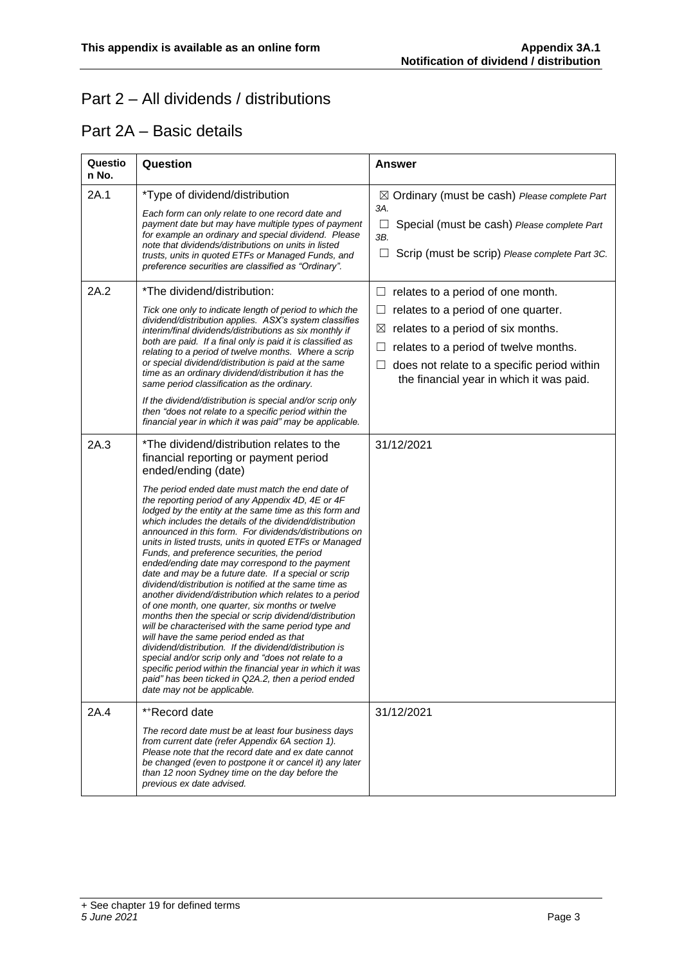## Part 2 – All dividends / distributions

#### Part 2A – Basic details

| Questio<br>n No. | Question                                                                                                                                                                                                                                                                                                                                                                                                                                                                                                                                                                                                                                                                                                                                                                                                                                                                                                                                                                                                                                                                                                                                                                                                                       | <b>Answer</b>                                                                                                                                                                                                                                                            |
|------------------|--------------------------------------------------------------------------------------------------------------------------------------------------------------------------------------------------------------------------------------------------------------------------------------------------------------------------------------------------------------------------------------------------------------------------------------------------------------------------------------------------------------------------------------------------------------------------------------------------------------------------------------------------------------------------------------------------------------------------------------------------------------------------------------------------------------------------------------------------------------------------------------------------------------------------------------------------------------------------------------------------------------------------------------------------------------------------------------------------------------------------------------------------------------------------------------------------------------------------------|--------------------------------------------------------------------------------------------------------------------------------------------------------------------------------------------------------------------------------------------------------------------------|
| 2A.1             | *Type of dividend/distribution<br>Each form can only relate to one record date and<br>payment date but may have multiple types of payment<br>for example an ordinary and special dividend. Please<br>note that dividends/distributions on units in listed<br>trusts, units in quoted ETFs or Managed Funds, and<br>preference securities are classified as "Ordinary".                                                                                                                                                                                                                                                                                                                                                                                                                                                                                                                                                                                                                                                                                                                                                                                                                                                         | $\boxtimes$ Ordinary (must be cash) Please complete Part<br>3A.<br>Special (must be cash) Please complete Part<br>3B.<br>Scrip (must be scrip) Please complete Part 3C.<br>⊔                                                                                             |
| 2A.2             | *The dividend/distribution:<br>Tick one only to indicate length of period to which the<br>dividend/distribution applies. ASX's system classifies<br>interim/final dividends/distributions as six monthly if<br>both are paid. If a final only is paid it is classified as<br>relating to a period of twelve months. Where a scrip<br>or special dividend/distribution is paid at the same<br>time as an ordinary dividend/distribution it has the<br>same period classification as the ordinary.<br>If the dividend/distribution is special and/or scrip only<br>then "does not relate to a specific period within the<br>financial year in which it was paid" may be applicable.                                                                                                                                                                                                                                                                                                                                                                                                                                                                                                                                              | $\Box$ relates to a period of one month.<br>relates to a period of one quarter.<br>$\Box$<br>relates to a period of six months.<br>⊠<br>relates to a period of twelve months.<br>does not relate to a specific period within<br>the financial year in which it was paid. |
| 2A.3             | *The dividend/distribution relates to the<br>financial reporting or payment period<br>ended/ending (date)<br>The period ended date must match the end date of<br>the reporting period of any Appendix 4D, 4E or 4F<br>lodged by the entity at the same time as this form and<br>which includes the details of the dividend/distribution<br>announced in this form. For dividends/distributions on<br>units in listed trusts, units in quoted ETFs or Managed<br>Funds, and preference securities, the period<br>ended/ending date may correspond to the payment<br>date and may be a future date. If a special or scrip<br>dividend/distribution is notified at the same time as<br>another dividend/distribution which relates to a period<br>of one month, one quarter, six months or twelve<br>months then the special or scrip dividend/distribution<br>will be characterised with the same period type and<br>will have the same period ended as that<br>dividend/distribution. If the dividend/distribution is<br>special and/or scrip only and "does not relate to a<br>specific period within the financial year in which it was<br>paid" has been ticked in Q2A.2, then a period ended<br>date may not be applicable. | 31/12/2021                                                                                                                                                                                                                                                               |
| 2A.4             | **Record date<br>The record date must be at least four business days<br>from current date (refer Appendix 6A section 1).<br>Please note that the record date and ex date cannot<br>be changed (even to postpone it or cancel it) any later<br>than 12 noon Sydney time on the day before the<br>previous ex date advised.                                                                                                                                                                                                                                                                                                                                                                                                                                                                                                                                                                                                                                                                                                                                                                                                                                                                                                      | 31/12/2021                                                                                                                                                                                                                                                               |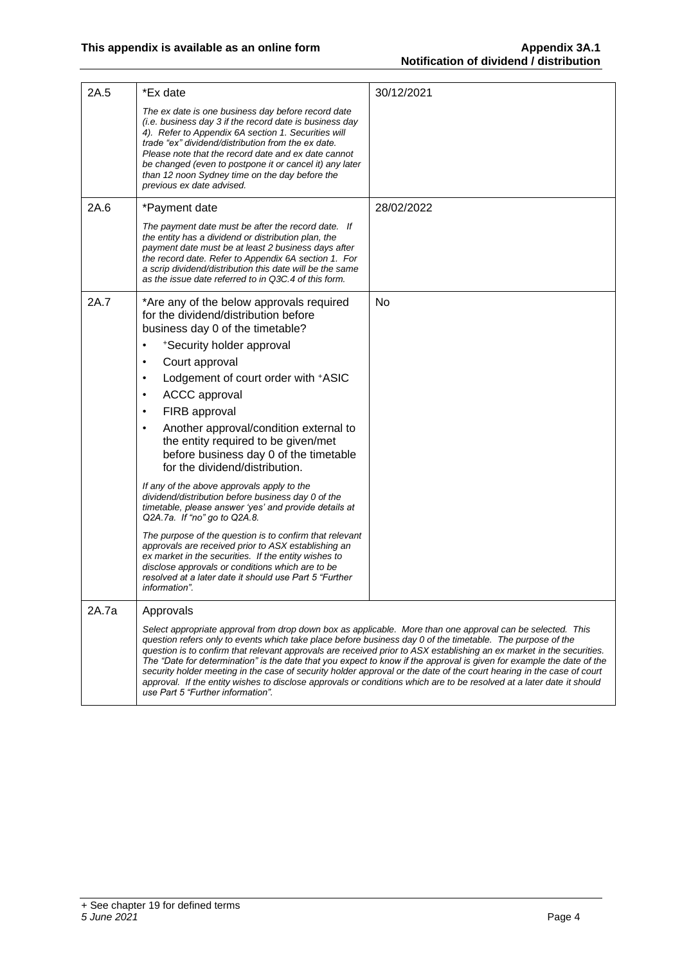| 2A.5  | *Ex date                                                                                                                                                                                                                                                                                                                                                                                                                    | 30/12/2021                                                                                                                                                                                                                                                                                                                                                                                                                                                                                       |
|-------|-----------------------------------------------------------------------------------------------------------------------------------------------------------------------------------------------------------------------------------------------------------------------------------------------------------------------------------------------------------------------------------------------------------------------------|--------------------------------------------------------------------------------------------------------------------------------------------------------------------------------------------------------------------------------------------------------------------------------------------------------------------------------------------------------------------------------------------------------------------------------------------------------------------------------------------------|
|       | The ex date is one business day before record date<br>(i.e. business day 3 if the record date is business day<br>4). Refer to Appendix 6A section 1. Securities will<br>trade "ex" dividend/distribution from the ex date.<br>Please note that the record date and ex date cannot<br>be changed (even to postpone it or cancel it) any later<br>than 12 noon Sydney time on the day before the<br>previous ex date advised. |                                                                                                                                                                                                                                                                                                                                                                                                                                                                                                  |
| 2A.6  | *Payment date                                                                                                                                                                                                                                                                                                                                                                                                               | 28/02/2022                                                                                                                                                                                                                                                                                                                                                                                                                                                                                       |
|       | The payment date must be after the record date. If<br>the entity has a dividend or distribution plan, the<br>payment date must be at least 2 business days after<br>the record date. Refer to Appendix 6A section 1. For<br>a scrip dividend/distribution this date will be the same<br>as the issue date referred to in Q3C.4 of this form.                                                                                |                                                                                                                                                                                                                                                                                                                                                                                                                                                                                                  |
| 2A.7  | *Are any of the below approvals required<br>for the dividend/distribution before<br>business day 0 of the timetable?                                                                                                                                                                                                                                                                                                        | No                                                                                                                                                                                                                                                                                                                                                                                                                                                                                               |
|       | *Security holder approval<br>Court approval<br>$\bullet$                                                                                                                                                                                                                                                                                                                                                                    |                                                                                                                                                                                                                                                                                                                                                                                                                                                                                                  |
|       | Lodgement of court order with +ASIC<br>$\bullet$                                                                                                                                                                                                                                                                                                                                                                            |                                                                                                                                                                                                                                                                                                                                                                                                                                                                                                  |
|       | <b>ACCC</b> approval<br>$\bullet$                                                                                                                                                                                                                                                                                                                                                                                           |                                                                                                                                                                                                                                                                                                                                                                                                                                                                                                  |
|       | FIRB approval<br>$\bullet$                                                                                                                                                                                                                                                                                                                                                                                                  |                                                                                                                                                                                                                                                                                                                                                                                                                                                                                                  |
|       | Another approval/condition external to<br>$\bullet$<br>the entity required to be given/met<br>before business day 0 of the timetable<br>for the dividend/distribution.                                                                                                                                                                                                                                                      |                                                                                                                                                                                                                                                                                                                                                                                                                                                                                                  |
|       | If any of the above approvals apply to the<br>dividend/distribution before business day 0 of the<br>timetable, please answer 'yes' and provide details at<br>Q2A.7a. If "no" go to Q2A.8.                                                                                                                                                                                                                                   |                                                                                                                                                                                                                                                                                                                                                                                                                                                                                                  |
|       | The purpose of the question is to confirm that relevant<br>approvals are received prior to ASX establishing an<br>ex market in the securities. If the entity wishes to<br>disclose approvals or conditions which are to be<br>resolved at a later date it should use Part 5 "Further<br>information".                                                                                                                       |                                                                                                                                                                                                                                                                                                                                                                                                                                                                                                  |
| 2A.7a | Approvals                                                                                                                                                                                                                                                                                                                                                                                                                   |                                                                                                                                                                                                                                                                                                                                                                                                                                                                                                  |
|       | Select appropriate approval from drop down box as applicable. More than one approval can be selected. This<br>question refers only to events which take place before business day 0 of the timetable. The purpose of the<br>use Part 5 "Further information".                                                                                                                                                               | question is to confirm that relevant approvals are received prior to ASX establishing an ex market in the securities.<br>The "Date for determination" is the date that you expect to know if the approval is given for example the date of the<br>security holder meeting in the case of security holder approval or the date of the court hearing in the case of court<br>approval. If the entity wishes to disclose approvals or conditions which are to be resolved at a later date it should |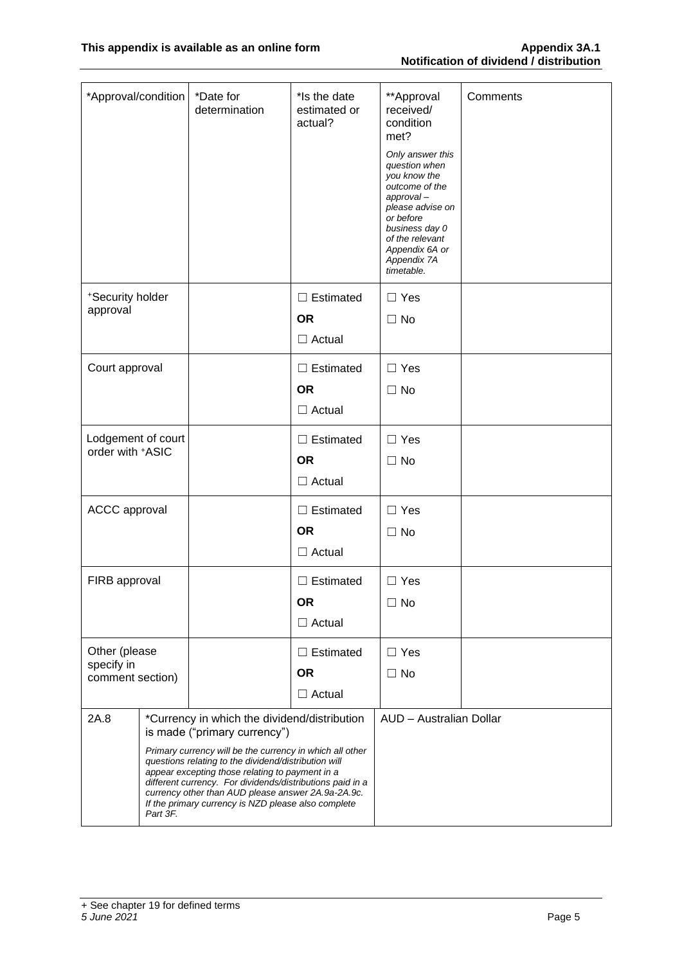| *Approval/condition                    |  | *Date for<br>determination                                                                                                                                           | *Is the date<br>estimated or<br>actual? | **Approval<br>received/<br>condition<br>met?<br>Only answer this<br>question when<br>you know the<br>outcome of the<br>approval-<br>please advise on<br>or before<br>business day 0<br>of the relevant<br>Appendix 6A or<br>Appendix 7A<br>timetable. | Comments |
|----------------------------------------|--|----------------------------------------------------------------------------------------------------------------------------------------------------------------------|-----------------------------------------|-------------------------------------------------------------------------------------------------------------------------------------------------------------------------------------------------------------------------------------------------------|----------|
| *Security holder                       |  |                                                                                                                                                                      | $\Box$ Estimated                        | $\Box$ Yes                                                                                                                                                                                                                                            |          |
| approval                               |  |                                                                                                                                                                      | <b>OR</b>                               | $\Box$ No                                                                                                                                                                                                                                             |          |
|                                        |  |                                                                                                                                                                      | $\Box$ Actual                           |                                                                                                                                                                                                                                                       |          |
| Court approval                         |  |                                                                                                                                                                      | $\Box$ Estimated                        | $\Box$ Yes                                                                                                                                                                                                                                            |          |
|                                        |  |                                                                                                                                                                      | <b>OR</b>                               | $\Box$ No                                                                                                                                                                                                                                             |          |
|                                        |  |                                                                                                                                                                      | $\Box$ Actual                           |                                                                                                                                                                                                                                                       |          |
| Lodgement of court<br>order with +ASIC |  |                                                                                                                                                                      | $\Box$ Estimated                        | $\Box$ Yes                                                                                                                                                                                                                                            |          |
|                                        |  |                                                                                                                                                                      | <b>OR</b>                               | $\Box$ No                                                                                                                                                                                                                                             |          |
|                                        |  |                                                                                                                                                                      | $\Box$ Actual                           |                                                                                                                                                                                                                                                       |          |
| <b>ACCC</b> approval                   |  |                                                                                                                                                                      | $\Box$ Estimated                        | $\Box$ Yes                                                                                                                                                                                                                                            |          |
|                                        |  |                                                                                                                                                                      | <b>OR</b>                               | $\Box$ No                                                                                                                                                                                                                                             |          |
|                                        |  |                                                                                                                                                                      | $\Box$ Actual                           |                                                                                                                                                                                                                                                       |          |
| FIRB approval                          |  |                                                                                                                                                                      | $\Box$ Estimated                        | $\Box$ Yes                                                                                                                                                                                                                                            |          |
|                                        |  |                                                                                                                                                                      | <b>OR</b>                               | $\Box$ No                                                                                                                                                                                                                                             |          |
|                                        |  |                                                                                                                                                                      | $\Box$ Actual                           |                                                                                                                                                                                                                                                       |          |
| Other (please                          |  |                                                                                                                                                                      | $\Box$ Estimated                        | $\Box$ Yes                                                                                                                                                                                                                                            |          |
| specify in<br>comment section)         |  |                                                                                                                                                                      | <b>OR</b>                               | $\Box$ No                                                                                                                                                                                                                                             |          |
|                                        |  |                                                                                                                                                                      | $\Box$ Actual                           |                                                                                                                                                                                                                                                       |          |
| 2A.8                                   |  | *Currency in which the dividend/distribution<br>is made ("primary currency")                                                                                         |                                         | AUD - Australian Dollar                                                                                                                                                                                                                               |          |
|                                        |  | Primary currency will be the currency in which all other                                                                                                             |                                         |                                                                                                                                                                                                                                                       |          |
|                                        |  | questions relating to the dividend/distribution will<br>appear excepting those relating to payment in a<br>different currency. For dividends/distributions paid in a |                                         |                                                                                                                                                                                                                                                       |          |
|                                        |  | currency other than AUD please answer 2A.9a-2A.9c.<br>If the primary currency is NZD please also complete                                                            |                                         |                                                                                                                                                                                                                                                       |          |
| Part 3F.                               |  |                                                                                                                                                                      |                                         |                                                                                                                                                                                                                                                       |          |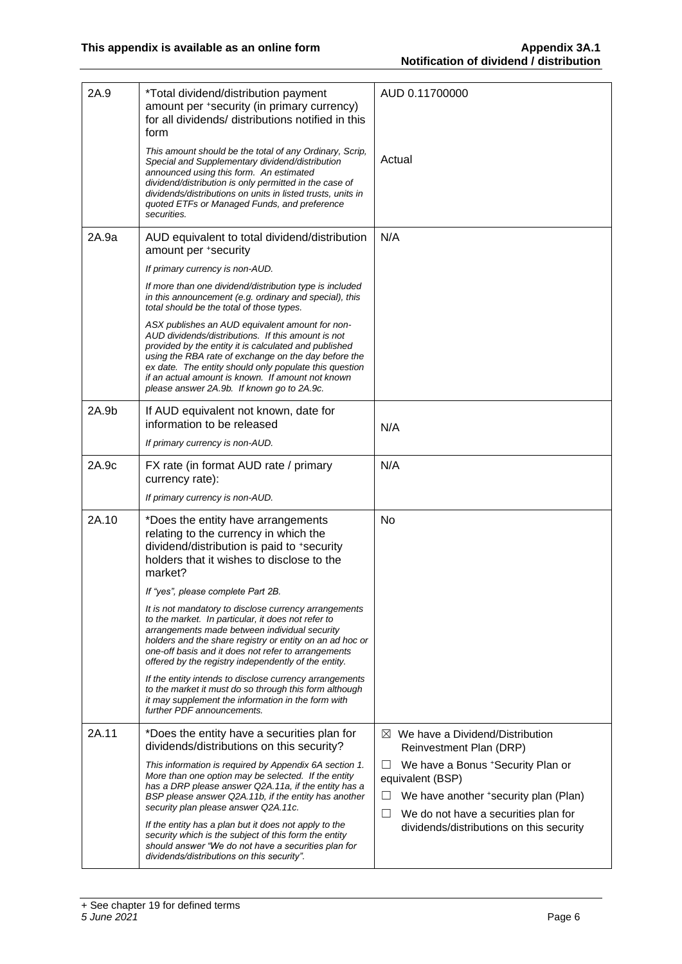| 2A.9  | *Total dividend/distribution payment<br>amount per +security (in primary currency)<br>for all dividends/ distributions notified in this<br>form                                                                                                                                                                                                                                     | AUD 0.11700000                                                                                                                                         |
|-------|-------------------------------------------------------------------------------------------------------------------------------------------------------------------------------------------------------------------------------------------------------------------------------------------------------------------------------------------------------------------------------------|--------------------------------------------------------------------------------------------------------------------------------------------------------|
|       | This amount should be the total of any Ordinary, Scrip,<br>Special and Supplementary dividend/distribution<br>announced using this form. An estimated<br>dividend/distribution is only permitted in the case of<br>dividends/distributions on units in listed trusts, units in<br>quoted ETFs or Managed Funds, and preference<br>securities.                                       | Actual                                                                                                                                                 |
| 2A.9a | AUD equivalent to total dividend/distribution<br>amount per +security                                                                                                                                                                                                                                                                                                               | N/A                                                                                                                                                    |
|       | If primary currency is non-AUD.                                                                                                                                                                                                                                                                                                                                                     |                                                                                                                                                        |
|       | If more than one dividend/distribution type is included<br>in this announcement (e.g. ordinary and special), this<br>total should be the total of those types.                                                                                                                                                                                                                      |                                                                                                                                                        |
|       | ASX publishes an AUD equivalent amount for non-<br>AUD dividends/distributions. If this amount is not<br>provided by the entity it is calculated and published<br>using the RBA rate of exchange on the day before the<br>ex date. The entity should only populate this question<br>if an actual amount is known. If amount not known<br>please answer 2A.9b. If known go to 2A.9c. |                                                                                                                                                        |
| 2A.9b | If AUD equivalent not known, date for                                                                                                                                                                                                                                                                                                                                               |                                                                                                                                                        |
|       | information to be released                                                                                                                                                                                                                                                                                                                                                          | N/A                                                                                                                                                    |
|       | If primary currency is non-AUD.                                                                                                                                                                                                                                                                                                                                                     |                                                                                                                                                        |
| 2A.9c | FX rate (in format AUD rate / primary<br>currency rate):                                                                                                                                                                                                                                                                                                                            | N/A                                                                                                                                                    |
|       | If primary currency is non-AUD.                                                                                                                                                                                                                                                                                                                                                     |                                                                                                                                                        |
| 2A.10 | *Does the entity have arrangements<br>relating to the currency in which the<br>dividend/distribution is paid to +security<br>holders that it wishes to disclose to the<br>market?                                                                                                                                                                                                   | No                                                                                                                                                     |
|       | If "yes", please complete Part 2B.                                                                                                                                                                                                                                                                                                                                                  |                                                                                                                                                        |
|       | It is not mandatory to disclose currency arrangements<br>to the market. In particular, it does not refer to<br>arrangements made between individual security<br>holders and the share registry or entity on an ad hoc or<br>one-off basis and it does not refer to arrangements<br>offered by the registry independently of the entity.                                             |                                                                                                                                                        |
|       | If the entity intends to disclose currency arrangements<br>to the market it must do so through this form although<br>it may supplement the information in the form with<br>further PDF announcements.                                                                                                                                                                               |                                                                                                                                                        |
| 2A.11 | *Does the entity have a securities plan for<br>dividends/distributions on this security?                                                                                                                                                                                                                                                                                            | $\boxtimes$ We have a Dividend/Distribution<br>Reinvestment Plan (DRP)                                                                                 |
|       | This information is required by Appendix 6A section 1.<br>More than one option may be selected. If the entity<br>has a DRP please answer Q2A.11a, if the entity has a<br>BSP please answer Q2A.11b, if the entity has another<br>security plan please answer Q2A.11c.                                                                                                               | We have a Bonus + Security Plan or<br>⊔<br>equivalent (BSP)<br>We have another *security plan (Plan)<br>ப<br>We do not have a securities plan for<br>ப |
|       | If the entity has a plan but it does not apply to the<br>security which is the subject of this form the entity<br>should answer "We do not have a securities plan for<br>dividends/distributions on this security".                                                                                                                                                                 | dividends/distributions on this security                                                                                                               |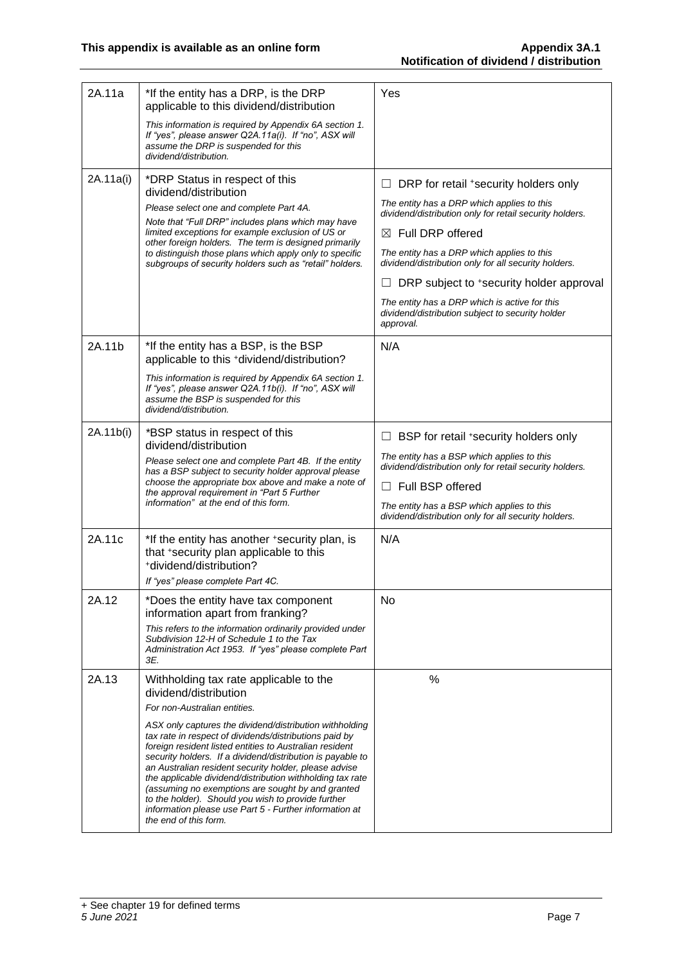| 2A.11a    | *If the entity has a DRP, is the DRP<br>applicable to this dividend/distribution<br>This information is required by Appendix 6A section 1.<br>If "yes", please answer Q2A.11a(i). If "no", ASX will<br>assume the DRP is suspended for this<br>dividend/distribution.                                                                                                                                                                                                                                                                                                                                                                                             | Yes                                                                                                                                                                                                                                                                                                                                                                                                                                                     |
|-----------|-------------------------------------------------------------------------------------------------------------------------------------------------------------------------------------------------------------------------------------------------------------------------------------------------------------------------------------------------------------------------------------------------------------------------------------------------------------------------------------------------------------------------------------------------------------------------------------------------------------------------------------------------------------------|---------------------------------------------------------------------------------------------------------------------------------------------------------------------------------------------------------------------------------------------------------------------------------------------------------------------------------------------------------------------------------------------------------------------------------------------------------|
| 2A.11a(i) | *DRP Status in respect of this<br>dividend/distribution<br>Please select one and complete Part 4A.<br>Note that "Full DRP" includes plans which may have<br>limited exceptions for example exclusion of US or<br>other foreign holders. The term is designed primarily<br>to distinguish those plans which apply only to specific<br>subgroups of security holders such as "retail" holders.                                                                                                                                                                                                                                                                      | DRP for retail *security holders only<br>ш<br>The entity has a DRP which applies to this<br>dividend/distribution only for retail security holders.<br>$\boxtimes$ Full DRP offered<br>The entity has a DRP which applies to this<br>dividend/distribution only for all security holders.<br>DRP subject to *security holder approval<br>The entity has a DRP which is active for this<br>dividend/distribution subject to security holder<br>approval. |
| 2A.11b    | *If the entity has a BSP, is the BSP<br>applicable to this +dividend/distribution?<br>This information is required by Appendix 6A section 1.<br>If "yes", please answer Q2A.11b(i). If "no", ASX will<br>assume the BSP is suspended for this<br>dividend/distribution.                                                                                                                                                                                                                                                                                                                                                                                           | N/A                                                                                                                                                                                                                                                                                                                                                                                                                                                     |
| 2A.11b(i) | *BSP status in respect of this<br>dividend/distribution<br>Please select one and complete Part 4B. If the entity<br>has a BSP subject to security holder approval please<br>choose the appropriate box above and make a note of<br>the approval requirement in "Part 5 Further<br>information" at the end of this form.                                                                                                                                                                                                                                                                                                                                           | BSP for retail *security holders only<br>П<br>The entity has a BSP which applies to this<br>dividend/distribution only for retail security holders.<br>Full BSP offered<br>ш<br>The entity has a BSP which applies to this<br>dividend/distribution only for all security holders.                                                                                                                                                                      |
| 2A.11c    | *If the entity has another +security plan, is<br>that +security plan applicable to this<br>*dividend/distribution?<br>If "yes" please complete Part 4C.                                                                                                                                                                                                                                                                                                                                                                                                                                                                                                           | N/A                                                                                                                                                                                                                                                                                                                                                                                                                                                     |
| 2A.12     | *Does the entity have tax component<br>information apart from franking?<br>This refers to the information ordinarily provided under<br>Subdivision 12-H of Schedule 1 to the Tax<br>Administration Act 1953. If "yes" please complete Part<br>3E.                                                                                                                                                                                                                                                                                                                                                                                                                 | No                                                                                                                                                                                                                                                                                                                                                                                                                                                      |
| 2A.13     | Withholding tax rate applicable to the<br>dividend/distribution<br>For non-Australian entities.<br>ASX only captures the dividend/distribution withholding<br>tax rate in respect of dividends/distributions paid by<br>foreign resident listed entities to Australian resident<br>security holders. If a dividend/distribution is payable to<br>an Australian resident security holder, please advise<br>the applicable dividend/distribution withholding tax rate<br>(assuming no exemptions are sought by and granted<br>to the holder). Should you wish to provide further<br>information please use Part 5 - Further information at<br>the end of this form. | %                                                                                                                                                                                                                                                                                                                                                                                                                                                       |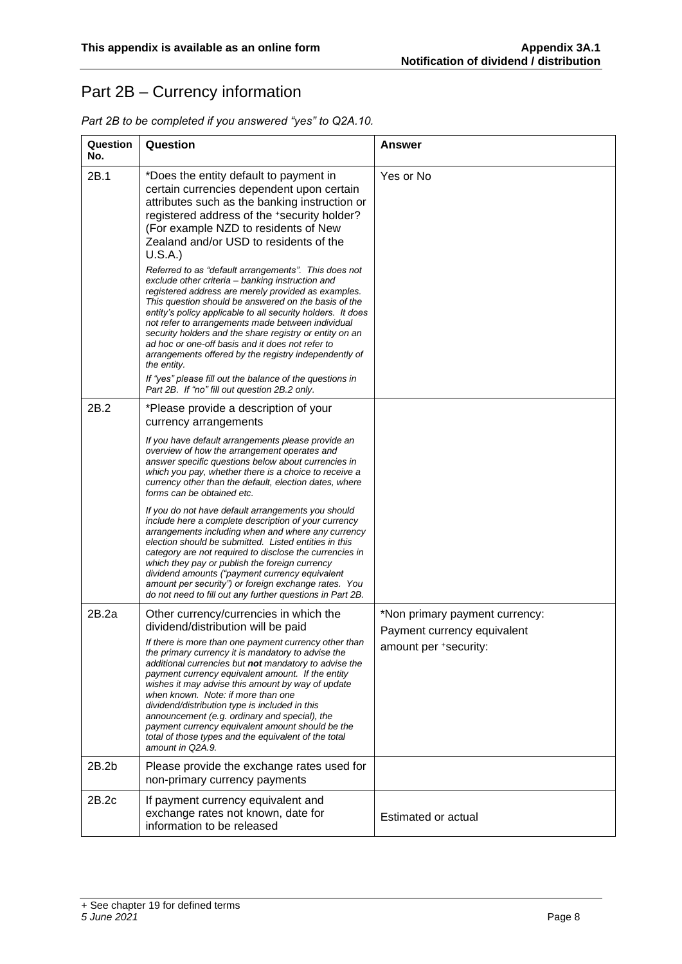## Part 2B – Currency information

| Part 2B to be completed if you answered "yes" to Q2A.10. |
|----------------------------------------------------------|
|----------------------------------------------------------|

| Question<br>No. | Question                                                                                                                                                                                                                                                                                                                                                                                                                                                                                                                                                                                                                                                                                                                                                                                                                                                                                                                            | Answer                                                        |
|-----------------|-------------------------------------------------------------------------------------------------------------------------------------------------------------------------------------------------------------------------------------------------------------------------------------------------------------------------------------------------------------------------------------------------------------------------------------------------------------------------------------------------------------------------------------------------------------------------------------------------------------------------------------------------------------------------------------------------------------------------------------------------------------------------------------------------------------------------------------------------------------------------------------------------------------------------------------|---------------------------------------------------------------|
| 2B.1            | *Does the entity default to payment in<br>certain currencies dependent upon certain<br>attributes such as the banking instruction or<br>registered address of the +security holder?<br>(For example NZD to residents of New<br>Zealand and/or USD to residents of the<br>U.S.A.)<br>Referred to as "default arrangements". This does not<br>exclude other criteria - banking instruction and<br>registered address are merely provided as examples.<br>This question should be answered on the basis of the<br>entity's policy applicable to all security holders. It does<br>not refer to arrangements made between individual<br>security holders and the share registry or entity on an<br>ad hoc or one-off basis and it does not refer to<br>arrangements offered by the registry independently of<br>the entity.<br>If "yes" please fill out the balance of the questions in<br>Part 2B. If "no" fill out question 2B.2 only. | Yes or No                                                     |
| 2B.2            | *Please provide a description of your<br>currency arrangements<br>If you have default arrangements please provide an                                                                                                                                                                                                                                                                                                                                                                                                                                                                                                                                                                                                                                                                                                                                                                                                                |                                                               |
|                 | overview of how the arrangement operates and<br>answer specific questions below about currencies in<br>which you pay, whether there is a choice to receive a<br>currency other than the default, election dates, where<br>forms can be obtained etc.                                                                                                                                                                                                                                                                                                                                                                                                                                                                                                                                                                                                                                                                                |                                                               |
|                 | If you do not have default arrangements you should<br>include here a complete description of your currency<br>arrangements including when and where any currency<br>election should be submitted. Listed entities in this<br>category are not required to disclose the currencies in<br>which they pay or publish the foreign currency<br>dividend amounts ("payment currency equivalent<br>amount per security") or foreign exchange rates. You<br>do not need to fill out any further questions in Part 2B.                                                                                                                                                                                                                                                                                                                                                                                                                       |                                                               |
| 2B.2a           | Other currency/currencies in which the<br>dividend/distribution will be paid                                                                                                                                                                                                                                                                                                                                                                                                                                                                                                                                                                                                                                                                                                                                                                                                                                                        | *Non primary payment currency:<br>Payment currency equivalent |
|                 | If there is more than one payment currency other than<br>the primary currency it is mandatory to advise the<br>additional currencies but <b>not</b> mandatory to advise the<br>payment currency equivalent amount. If the entity<br>wishes it may advise this amount by way of update<br>when known. Note: if more than one<br>dividend/distribution type is included in this<br>announcement (e.g. ordinary and special), the<br>payment currency equivalent amount should be the<br>total of those types and the equivalent of the total<br>amount in Q2A.9.                                                                                                                                                                                                                                                                                                                                                                      | amount per +security:                                         |
| 2B.2b           | Please provide the exchange rates used for<br>non-primary currency payments                                                                                                                                                                                                                                                                                                                                                                                                                                                                                                                                                                                                                                                                                                                                                                                                                                                         |                                                               |
| 2B.2c           | If payment currency equivalent and<br>exchange rates not known, date for<br>information to be released                                                                                                                                                                                                                                                                                                                                                                                                                                                                                                                                                                                                                                                                                                                                                                                                                              | Estimated or actual                                           |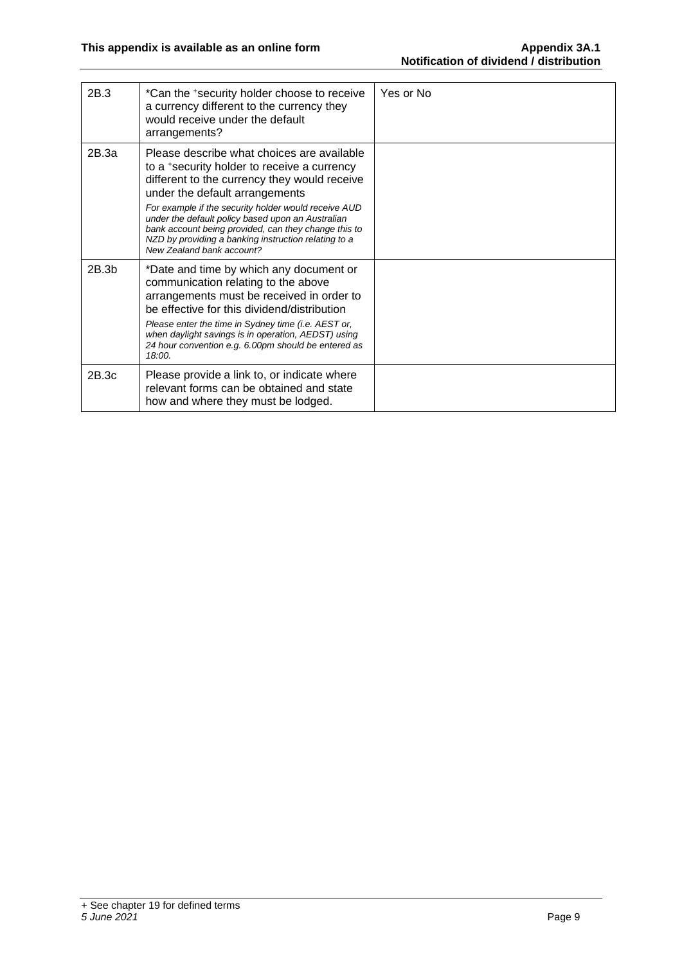| 2B.3  | *Can the +security holder choose to receive<br>a currency different to the currency they<br>would receive under the default<br>arrangements?                                                                                                           | Yes or No |
|-------|--------------------------------------------------------------------------------------------------------------------------------------------------------------------------------------------------------------------------------------------------------|-----------|
| 2B.3a | Please describe what choices are available<br>to a +security holder to receive a currency<br>different to the currency they would receive<br>under the default arrangements                                                                            |           |
|       | For example if the security holder would receive AUD<br>under the default policy based upon an Australian<br>bank account being provided, can they change this to<br>NZD by providing a banking instruction relating to a<br>New Zealand bank account? |           |
| 2B.3b | *Date and time by which any document or<br>communication relating to the above<br>arrangements must be received in order to<br>be effective for this dividend/distribution                                                                             |           |
|       | Please enter the time in Sydney time (i.e. AEST or,<br>when daylight savings is in operation, AEDST) using<br>24 hour convention e.g. 6.00pm should be entered as<br>18:00.                                                                            |           |
| 2B.3c | Please provide a link to, or indicate where<br>relevant forms can be obtained and state<br>how and where they must be lodged.                                                                                                                          |           |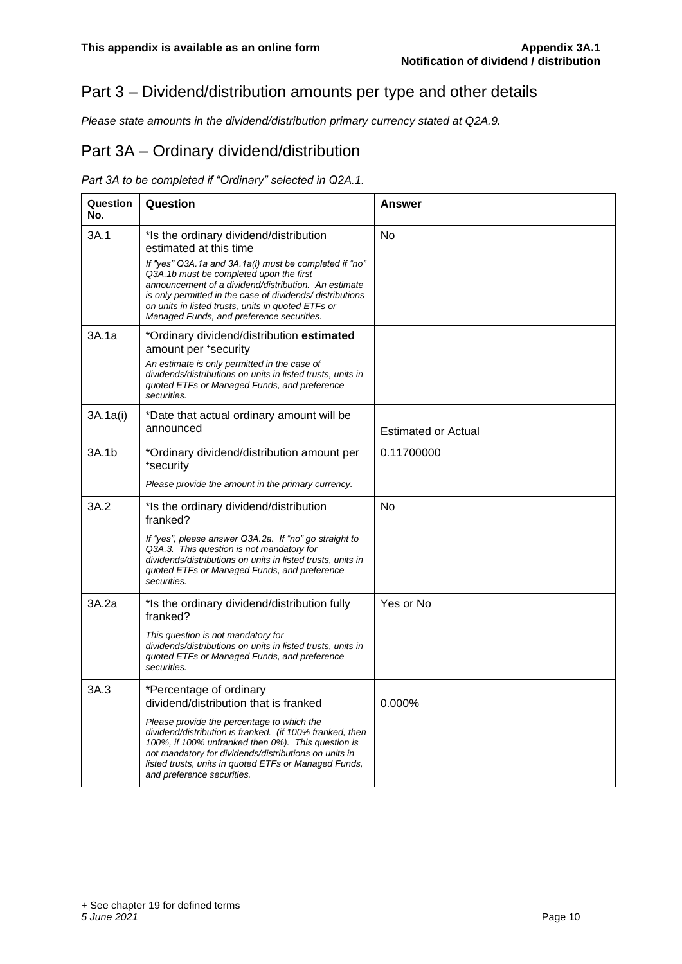#### Part 3 – Dividend/distribution amounts per type and other details

*Please state amounts in the dividend/distribution primary currency stated at Q2A.9.*

#### Part 3A – Ordinary dividend/distribution

#### *Part 3A to be completed if "Ordinary" selected in Q2A.1.*

| Question<br>No. | Question                                                                                                                                                                                                                                                                                                                                                                                      | Answer                     |
|-----------------|-----------------------------------------------------------------------------------------------------------------------------------------------------------------------------------------------------------------------------------------------------------------------------------------------------------------------------------------------------------------------------------------------|----------------------------|
| 3A.1            | *Is the ordinary dividend/distribution<br>estimated at this time<br>If "yes" Q3A.1a and 3A.1a(i) must be completed if "no"<br>Q3A.1b must be completed upon the first<br>announcement of a dividend/distribution. An estimate<br>is only permitted in the case of dividends/ distributions<br>on units in listed trusts, units in quoted ETFs or<br>Managed Funds, and preference securities. | No                         |
| 3A.1a           | *Ordinary dividend/distribution estimated<br>amount per +security<br>An estimate is only permitted in the case of<br>dividends/distributions on units in listed trusts, units in<br>quoted ETFs or Managed Funds, and preference<br>securities.                                                                                                                                               |                            |
| 3A.1a(i)        | *Date that actual ordinary amount will be<br>announced                                                                                                                                                                                                                                                                                                                                        | <b>Estimated or Actual</b> |
| 3A.1b           | *Ordinary dividend/distribution amount per<br>*security<br>Please provide the amount in the primary currency.                                                                                                                                                                                                                                                                                 | 0.11700000                 |
| 3A.2            | *Is the ordinary dividend/distribution<br>franked?<br>If "yes", please answer Q3A.2a. If "no" go straight to<br>Q3A.3. This question is not mandatory for<br>dividends/distributions on units in listed trusts, units in<br>quoted ETFs or Managed Funds, and preference<br>securities.                                                                                                       | No                         |
| 3A.2a           | *Is the ordinary dividend/distribution fully<br>franked?<br>This question is not mandatory for<br>dividends/distributions on units in listed trusts, units in<br>quoted ETFs or Managed Funds, and preference<br>securities.                                                                                                                                                                  | Yes or No                  |
| 3A.3            | *Percentage of ordinary<br>dividend/distribution that is franked<br>Please provide the percentage to which the<br>dividend/distribution is franked. (if 100% franked, then<br>100%, if 100% unfranked then 0%). This question is<br>not mandatory for dividends/distributions on units in<br>listed trusts, units in quoted ETFs or Managed Funds,<br>and preference securities.              | $0.000\%$                  |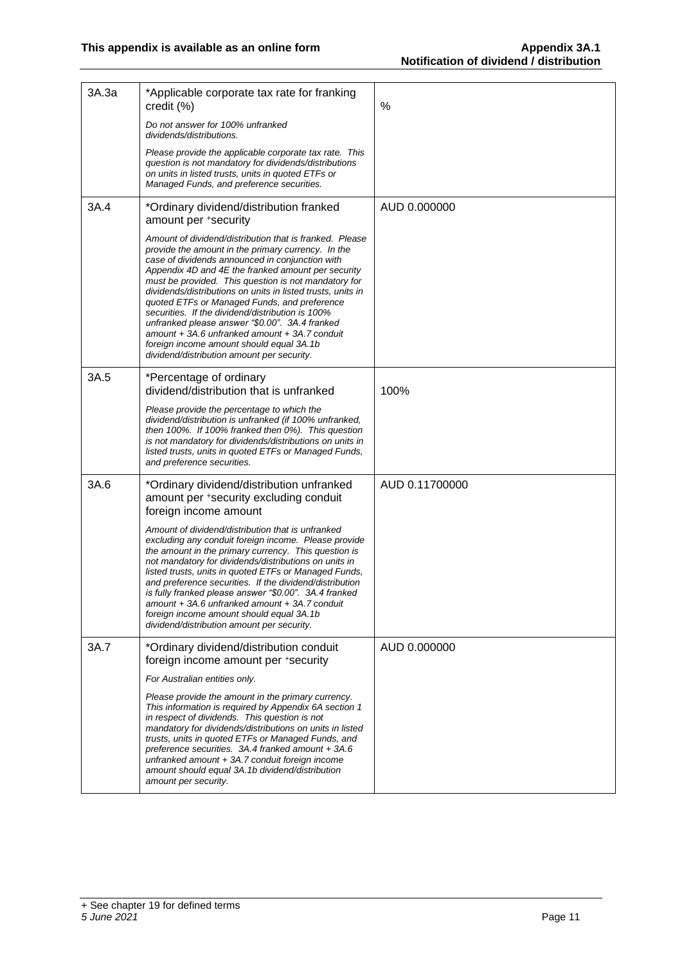| 3A.3a | *Applicable corporate tax rate for franking<br>credit (%)                                                                                                                                                                                                                                                                                                                                                                                                                                                                                                                                                                                      | %              |
|-------|------------------------------------------------------------------------------------------------------------------------------------------------------------------------------------------------------------------------------------------------------------------------------------------------------------------------------------------------------------------------------------------------------------------------------------------------------------------------------------------------------------------------------------------------------------------------------------------------------------------------------------------------|----------------|
|       | Do not answer for 100% unfranked<br>dividends/distributions.                                                                                                                                                                                                                                                                                                                                                                                                                                                                                                                                                                                   |                |
|       | Please provide the applicable corporate tax rate. This<br>question is not mandatory for dividends/distributions<br>on units in listed trusts, units in quoted ETFs or<br>Managed Funds, and preference securities.                                                                                                                                                                                                                                                                                                                                                                                                                             |                |
| 3A.4  | *Ordinary dividend/distribution franked<br>amount per +security                                                                                                                                                                                                                                                                                                                                                                                                                                                                                                                                                                                | AUD 0.000000   |
|       | Amount of dividend/distribution that is franked. Please<br>provide the amount in the primary currency. In the<br>case of dividends announced in conjunction with<br>Appendix 4D and 4E the franked amount per security<br>must be provided. This question is not mandatory for<br>dividends/distributions on units in listed trusts, units in<br>quoted ETFs or Managed Funds, and preference<br>securities. If the dividend/distribution is 100%<br>unfranked please answer "\$0.00". 3A.4 franked<br>amount + 3A.6 unfranked amount + 3A.7 conduit<br>foreign income amount should equal 3A.1b<br>dividend/distribution amount per security. |                |
| 3A.5  | *Percentage of ordinary<br>dividend/distribution that is unfranked                                                                                                                                                                                                                                                                                                                                                                                                                                                                                                                                                                             | 100%           |
|       | Please provide the percentage to which the<br>dividend/distribution is unfranked (if 100% unfranked,<br>then 100%. If 100% franked then 0%). This question<br>is not mandatory for dividends/distributions on units in<br>listed trusts, units in quoted ETFs or Managed Funds,<br>and preference securities.                                                                                                                                                                                                                                                                                                                                  |                |
| 3A.6  | *Ordinary dividend/distribution unfranked<br>amount per *security excluding conduit<br>foreign income amount                                                                                                                                                                                                                                                                                                                                                                                                                                                                                                                                   | AUD 0.11700000 |
|       | Amount of dividend/distribution that is unfranked<br>excluding any conduit foreign income. Please provide<br>the amount in the primary currency. This question is<br>not mandatory for dividends/distributions on units in<br>listed trusts, units in quoted ETFs or Managed Funds,<br>and preference securities. If the dividend/distribution<br>is fully franked please answer "\$0.00". 3A.4 franked<br>amount + 3A.6 unfranked amount + 3A.7 conduit<br>foreign income amount should equal 3A.1b<br>dividend/distribution amount per security.                                                                                             |                |
| 3A.7  | *Ordinary dividend/distribution conduit<br>foreign income amount per +security                                                                                                                                                                                                                                                                                                                                                                                                                                                                                                                                                                 | AUD 0.000000   |
|       | For Australian entities only.                                                                                                                                                                                                                                                                                                                                                                                                                                                                                                                                                                                                                  |                |
|       | Please provide the amount in the primary currency.<br>This information is required by Appendix 6A section 1<br>in respect of dividends. This question is not<br>mandatory for dividends/distributions on units in listed<br>trusts, units in quoted ETFs or Managed Funds, and<br>preference securities. 3A.4 franked amount + 3A.6<br>unfranked amount + 3A.7 conduit foreign income<br>amount should equal 3A.1b dividend/distribution<br>amount per security.                                                                                                                                                                               |                |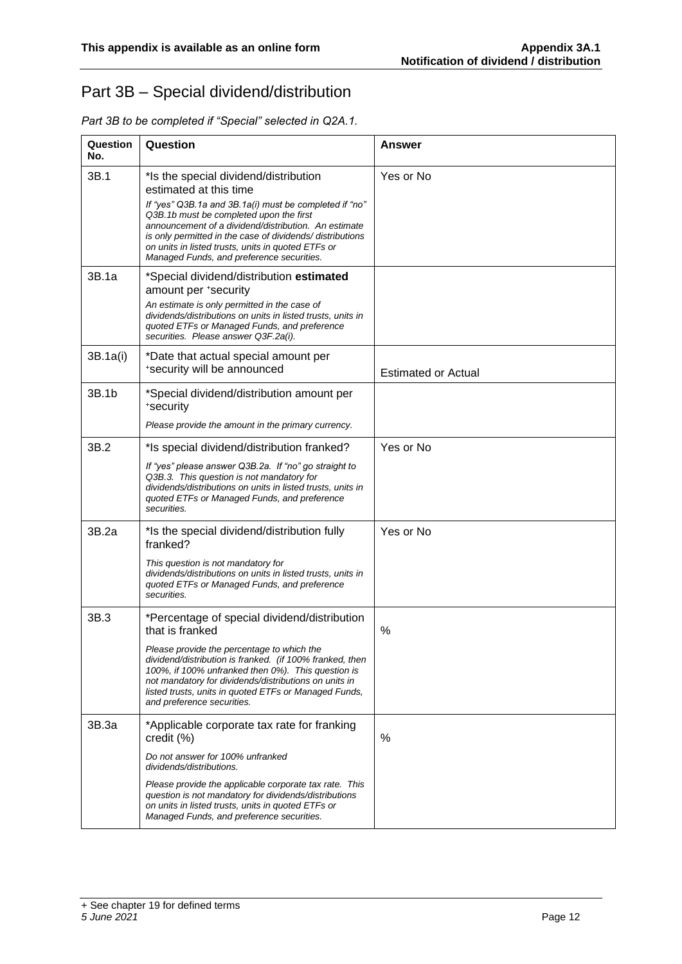## Part 3B – Special dividend/distribution

| Question<br>No. | Question                                                                                                                                                                                                                                                                                                                 | Answer                     |
|-----------------|--------------------------------------------------------------------------------------------------------------------------------------------------------------------------------------------------------------------------------------------------------------------------------------------------------------------------|----------------------------|
| 3B.1            | *Is the special dividend/distribution<br>estimated at this time                                                                                                                                                                                                                                                          | Yes or No                  |
|                 | If "yes" Q3B.1a and 3B.1a(i) must be completed if "no"<br>Q3B.1b must be completed upon the first<br>announcement of a dividend/distribution. An estimate<br>is only permitted in the case of dividends/distributions<br>on units in listed trusts, units in quoted ETFs or<br>Managed Funds, and preference securities. |                            |
| 3B.1a           | *Special dividend/distribution estimated<br>amount per +security                                                                                                                                                                                                                                                         |                            |
|                 | An estimate is only permitted in the case of<br>dividends/distributions on units in listed trusts, units in<br>quoted ETFs or Managed Funds, and preference<br>securities. Please answer Q3F.2a(i).                                                                                                                      |                            |
| 3B.1a(i)        | *Date that actual special amount per<br>*security will be announced                                                                                                                                                                                                                                                      | <b>Estimated or Actual</b> |
| 3B.1b           | *Special dividend/distribution amount per<br>*security                                                                                                                                                                                                                                                                   |                            |
|                 | Please provide the amount in the primary currency.                                                                                                                                                                                                                                                                       |                            |
| 3B.2            | *Is special dividend/distribution franked?                                                                                                                                                                                                                                                                               | Yes or No                  |
|                 | If "yes" please answer Q3B.2a. If "no" go straight to<br>Q3B.3. This question is not mandatory for<br>dividends/distributions on units in listed trusts, units in<br>quoted ETFs or Managed Funds, and preference<br>securities.                                                                                         |                            |
| 3B.2a           | *Is the special dividend/distribution fully<br>franked?                                                                                                                                                                                                                                                                  | Yes or No                  |
|                 | This question is not mandatory for<br>dividends/distributions on units in listed trusts, units in<br>quoted ETFs or Managed Funds, and preference<br>securities.                                                                                                                                                         |                            |
| 3B.3            | *Percentage of special dividend/distribution<br>that is franked                                                                                                                                                                                                                                                          | $\%$                       |
|                 | Please provide the percentage to which the<br>dividend/distribution is franked. (if 100% franked, then<br>100%, if 100% unfranked then 0%). This question is<br>not mandatory for dividends/distributions on units in<br>listed trusts, units in quoted ETFs or Managed Funds,<br>and preference securities.             |                            |
| 3B.3a           | *Applicable corporate tax rate for franking<br>credit (%)                                                                                                                                                                                                                                                                | %                          |
|                 | Do not answer for 100% unfranked<br>dividends/distributions.                                                                                                                                                                                                                                                             |                            |
|                 | Please provide the applicable corporate tax rate. This<br>question is not mandatory for dividends/distributions<br>on units in listed trusts, units in quoted ETFs or<br>Managed Funds, and preference securities.                                                                                                       |                            |

*Part 3B to be completed if "Special" selected in Q2A.1.*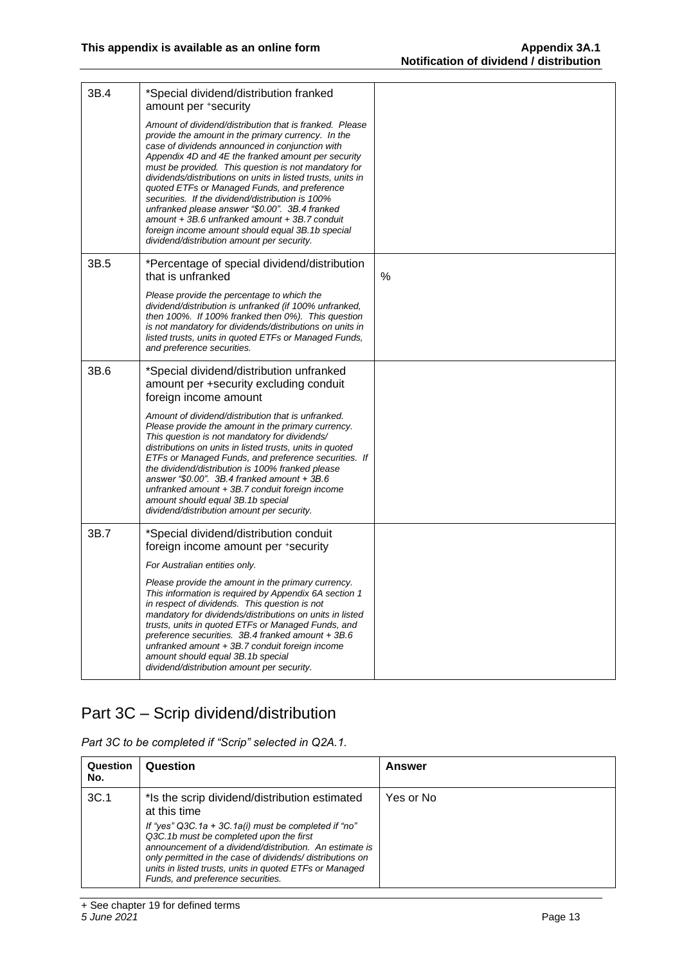| 3B.4 | *Special dividend/distribution franked<br>amount per +security                                                                                                                                                                                                                                                                                                                                                                                                                                                                                                                                                                                             |   |
|------|------------------------------------------------------------------------------------------------------------------------------------------------------------------------------------------------------------------------------------------------------------------------------------------------------------------------------------------------------------------------------------------------------------------------------------------------------------------------------------------------------------------------------------------------------------------------------------------------------------------------------------------------------------|---|
|      | Amount of dividend/distribution that is franked. Please<br>provide the amount in the primary currency. In the<br>case of dividends announced in conjunction with<br>Appendix 4D and 4E the franked amount per security<br>must be provided. This question is not mandatory for<br>dividends/distributions on units in listed trusts, units in<br>quoted ETFs or Managed Funds, and preference<br>securities. If the dividend/distribution is 100%<br>unfranked please answer "\$0.00". 3B.4 franked<br>$amount + 3B.6$ unfranked amount $+ 3B.7$ conduit<br>foreign income amount should equal 3B.1b special<br>dividend/distribution amount per security. |   |
| 3B.5 | *Percentage of special dividend/distribution<br>that is unfranked                                                                                                                                                                                                                                                                                                                                                                                                                                                                                                                                                                                          | % |
|      | Please provide the percentage to which the<br>dividend/distribution is unfranked (if 100% unfranked,<br>then 100%. If 100% franked then 0%). This question<br>is not mandatory for dividends/distributions on units in<br>listed trusts, units in quoted ETFs or Managed Funds,<br>and preference securities.                                                                                                                                                                                                                                                                                                                                              |   |
| 3B.6 | *Special dividend/distribution unfranked<br>amount per +security excluding conduit<br>foreign income amount                                                                                                                                                                                                                                                                                                                                                                                                                                                                                                                                                |   |
|      | Amount of dividend/distribution that is unfranked.<br>Please provide the amount in the primary currency.<br>This question is not mandatory for dividends/<br>distributions on units in listed trusts, units in quoted<br>ETFs or Managed Funds, and preference securities. If<br>the dividend/distribution is 100% franked please<br>answer "\$0.00". 3B.4 franked amount + 3B.6<br>unfranked amount + 3B.7 conduit foreign income<br>amount should equal 3B.1b special<br>dividend/distribution amount per security.                                                                                                                                      |   |
| 3B.7 | *Special dividend/distribution conduit<br>foreign income amount per *security                                                                                                                                                                                                                                                                                                                                                                                                                                                                                                                                                                              |   |
|      | For Australian entities only.                                                                                                                                                                                                                                                                                                                                                                                                                                                                                                                                                                                                                              |   |
|      | Please provide the amount in the primary currency.<br>This information is required by Appendix 6A section 1<br>in respect of dividends. This question is not<br>mandatory for dividends/distributions on units in listed<br>trusts, units in quoted ETFs or Managed Funds, and<br>preference securities. 3B.4 franked amount + 3B.6<br>unfranked amount + 3B.7 conduit foreign income<br>amount should equal 3B.1b special<br>dividend/distribution amount per security.                                                                                                                                                                                   |   |

## Part 3C – Scrip dividend/distribution

*Part 3C to be completed if "Scrip" selected in Q2A.1.*

| Question<br>No. | Question                                                                                                                                                                                                                                                                                                               | Answer    |
|-----------------|------------------------------------------------------------------------------------------------------------------------------------------------------------------------------------------------------------------------------------------------------------------------------------------------------------------------|-----------|
| 3C.1            | *Is the scrip dividend/distribution estimated<br>at this time                                                                                                                                                                                                                                                          | Yes or No |
|                 | If "yes" Q3C.1a + 3C.1a(i) must be completed if "no"<br>Q3C.1b must be completed upon the first<br>announcement of a dividend/distribution. An estimate is<br>only permitted in the case of dividends/distributions on<br>units in listed trusts, units in quoted ETFs or Managed<br>Funds, and preference securities. |           |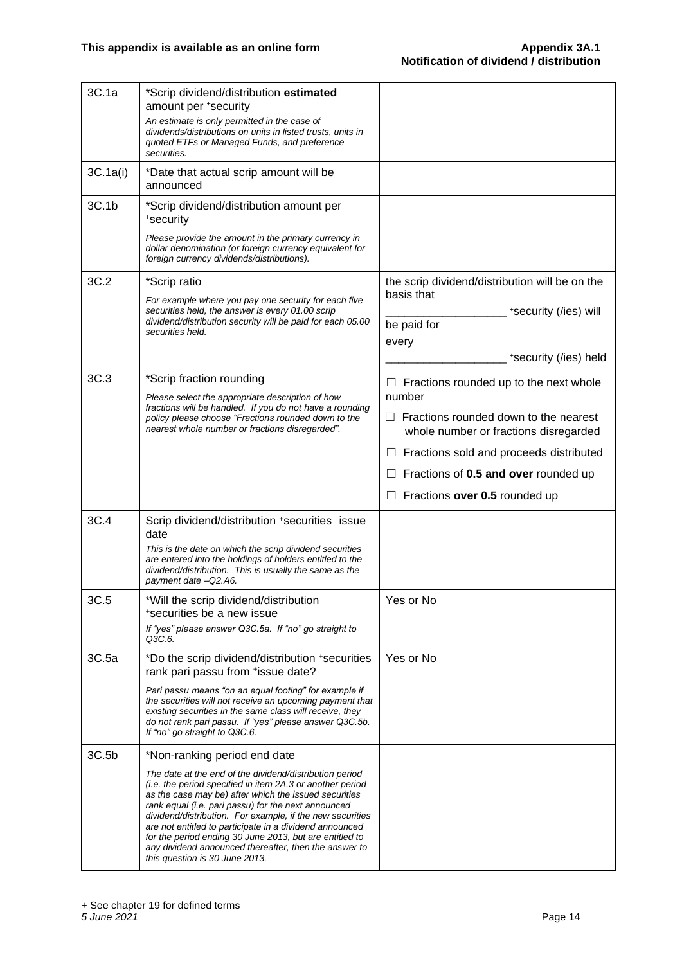| 3C.1a    | *Scrip dividend/distribution estimated<br>amount per +security                                                                                                                                                                                                                                                                                                                                                                                                                                                     |                                                                                          |
|----------|--------------------------------------------------------------------------------------------------------------------------------------------------------------------------------------------------------------------------------------------------------------------------------------------------------------------------------------------------------------------------------------------------------------------------------------------------------------------------------------------------------------------|------------------------------------------------------------------------------------------|
|          | An estimate is only permitted in the case of<br>dividends/distributions on units in listed trusts, units in<br>quoted ETFs or Managed Funds, and preference<br>securities.                                                                                                                                                                                                                                                                                                                                         |                                                                                          |
| 3C.1a(i) | *Date that actual scrip amount will be<br>announced                                                                                                                                                                                                                                                                                                                                                                                                                                                                |                                                                                          |
| 3C.1b    | *Scrip dividend/distribution amount per<br>*security                                                                                                                                                                                                                                                                                                                                                                                                                                                               |                                                                                          |
|          | Please provide the amount in the primary currency in<br>dollar denomination (or foreign currency equivalent for<br>foreign currency dividends/distributions).                                                                                                                                                                                                                                                                                                                                                      |                                                                                          |
| 3C.2     | *Scrip ratio                                                                                                                                                                                                                                                                                                                                                                                                                                                                                                       | the scrip dividend/distribution will be on the                                           |
|          | For example where you pay one security for each five<br>securities held, the answer is every 01.00 scrip                                                                                                                                                                                                                                                                                                                                                                                                           | basis that<br>*security (/ies) will                                                      |
|          | dividend/distribution security will be paid for each 05.00<br>securities held.                                                                                                                                                                                                                                                                                                                                                                                                                                     | be paid for                                                                              |
|          |                                                                                                                                                                                                                                                                                                                                                                                                                                                                                                                    | every                                                                                    |
|          |                                                                                                                                                                                                                                                                                                                                                                                                                                                                                                                    | *security (/ies) held                                                                    |
| 3C.3     | *Scrip fraction rounding<br>Please select the appropriate description of how                                                                                                                                                                                                                                                                                                                                                                                                                                       | Fractions rounded up to the next whole<br>number                                         |
|          | fractions will be handled. If you do not have a rounding<br>policy please choose "Fractions rounded down to the<br>nearest whole number or fractions disregarded".                                                                                                                                                                                                                                                                                                                                                 | Fractions rounded down to the nearest<br>$\Box$<br>whole number or fractions disregarded |
|          |                                                                                                                                                                                                                                                                                                                                                                                                                                                                                                                    | Fractions sold and proceeds distributed                                                  |
|          |                                                                                                                                                                                                                                                                                                                                                                                                                                                                                                                    | Fractions of 0.5 and over rounded up                                                     |
|          |                                                                                                                                                                                                                                                                                                                                                                                                                                                                                                                    | Fractions over 0.5 rounded up                                                            |
| 3C.4     | Scrip dividend/distribution +securities +issue<br>date                                                                                                                                                                                                                                                                                                                                                                                                                                                             |                                                                                          |
|          | This is the date on which the scrip dividend securities<br>are entered into the holdings of holders entitled to the<br>dividend/distribution. This is usually the same as the<br>payment date -Q2.A6.                                                                                                                                                                                                                                                                                                              |                                                                                          |
| 3C.5     | *Will the scrip dividend/distribution                                                                                                                                                                                                                                                                                                                                                                                                                                                                              | Yes or No                                                                                |
|          | *securities be a new issue<br>If "yes" please answer Q3C.5a. If "no" go straight to                                                                                                                                                                                                                                                                                                                                                                                                                                |                                                                                          |
|          | Q3C.6.                                                                                                                                                                                                                                                                                                                                                                                                                                                                                                             |                                                                                          |
| 3C.5a    | *Do the scrip dividend/distribution +securities<br>rank pari passu from +issue date?                                                                                                                                                                                                                                                                                                                                                                                                                               | Yes or No                                                                                |
|          | Pari passu means "on an equal footing" for example if<br>the securities will not receive an upcoming payment that<br>existing securities in the same class will receive, they<br>do not rank pari passu. If "yes" please answer Q3C.5b.<br>If "no" go straight to Q3C.6.                                                                                                                                                                                                                                           |                                                                                          |
| 3C.5b    | *Non-ranking period end date                                                                                                                                                                                                                                                                                                                                                                                                                                                                                       |                                                                                          |
|          | The date at the end of the dividend/distribution period<br>(i.e. the period specified in item 2A.3 or another period<br>as the case may be) after which the issued securities<br>rank equal (i.e. pari passu) for the next announced<br>dividend/distribution. For example, if the new securities<br>are not entitled to participate in a dividend announced<br>for the period ending 30 June 2013, but are entitled to<br>any dividend announced thereafter, then the answer to<br>this question is 30 June 2013. |                                                                                          |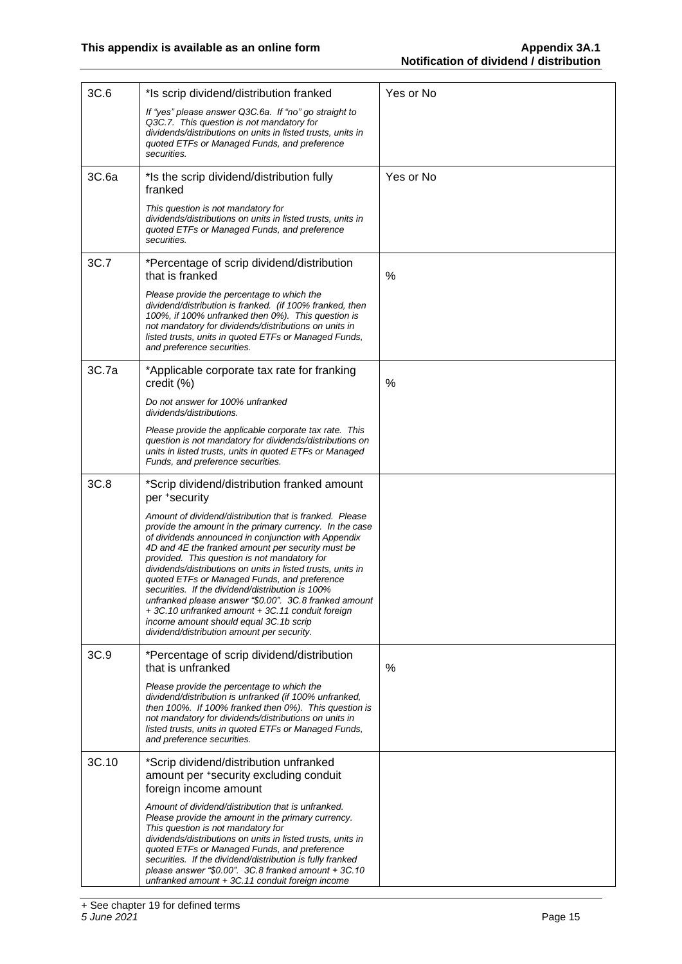| 3C.6  | *Is scrip dividend/distribution franked                                                                                                                                                                                                                                                                                                                                                                                                                                                                                                                                                                                                              | Yes or No |
|-------|------------------------------------------------------------------------------------------------------------------------------------------------------------------------------------------------------------------------------------------------------------------------------------------------------------------------------------------------------------------------------------------------------------------------------------------------------------------------------------------------------------------------------------------------------------------------------------------------------------------------------------------------------|-----------|
|       | If "yes" please answer Q3C.6a. If "no" go straight to<br>Q3C.7. This question is not mandatory for<br>dividends/distributions on units in listed trusts, units in<br>quoted ETFs or Managed Funds, and preference<br>securities.                                                                                                                                                                                                                                                                                                                                                                                                                     |           |
| 3C.6a | *Is the scrip dividend/distribution fully<br>franked                                                                                                                                                                                                                                                                                                                                                                                                                                                                                                                                                                                                 | Yes or No |
|       | This question is not mandatory for<br>dividends/distributions on units in listed trusts, units in<br>quoted ETFs or Managed Funds, and preference<br>securities.                                                                                                                                                                                                                                                                                                                                                                                                                                                                                     |           |
| 3C.7  | *Percentage of scrip dividend/distribution<br>that is franked                                                                                                                                                                                                                                                                                                                                                                                                                                                                                                                                                                                        | %         |
|       | Please provide the percentage to which the<br>dividend/distribution is franked. (if 100% franked, then<br>100%, if 100% unfranked then 0%). This question is<br>not mandatory for dividends/distributions on units in<br>listed trusts, units in quoted ETFs or Managed Funds,<br>and preference securities.                                                                                                                                                                                                                                                                                                                                         |           |
| 3C.7a | *Applicable corporate tax rate for franking<br>credit (%)                                                                                                                                                                                                                                                                                                                                                                                                                                                                                                                                                                                            | %         |
|       | Do not answer for 100% unfranked<br>dividends/distributions.                                                                                                                                                                                                                                                                                                                                                                                                                                                                                                                                                                                         |           |
|       | Please provide the applicable corporate tax rate. This<br>question is not mandatory for dividends/distributions on<br>units in listed trusts, units in quoted ETFs or Managed<br>Funds, and preference securities.                                                                                                                                                                                                                                                                                                                                                                                                                                   |           |
| 3C.8  | *Scrip dividend/distribution franked amount<br>per +security                                                                                                                                                                                                                                                                                                                                                                                                                                                                                                                                                                                         |           |
|       | Amount of dividend/distribution that is franked. Please<br>provide the amount in the primary currency. In the case<br>of dividends announced in conjunction with Appendix<br>4D and 4E the franked amount per security must be<br>provided. This question is not mandatory for<br>dividends/distributions on units in listed trusts, units in<br>quoted ETFs or Managed Funds, and preference<br>securities. If the dividend/distribution is 100%<br>unfranked please answer "\$0.00". 3C.8 franked amount<br>+3C.10 unfranked amount +3C.11 conduit foreign<br>income amount should equal 3C.1b scrip<br>dividend/distribution amount per security. |           |
| 3C.9  | *Percentage of scrip dividend/distribution<br>that is unfranked                                                                                                                                                                                                                                                                                                                                                                                                                                                                                                                                                                                      | %         |
|       | Please provide the percentage to which the<br>dividend/distribution is unfranked (if 100% unfranked,<br>then 100%. If 100% franked then 0%). This question is<br>not mandatory for dividends/distributions on units in<br>listed trusts, units in quoted ETFs or Managed Funds,<br>and preference securities.                                                                                                                                                                                                                                                                                                                                        |           |
| 3C.10 | *Scrip dividend/distribution unfranked<br>amount per *security excluding conduit<br>foreign income amount                                                                                                                                                                                                                                                                                                                                                                                                                                                                                                                                            |           |
|       | Amount of dividend/distribution that is unfranked.<br>Please provide the amount in the primary currency.<br>This question is not mandatory for<br>dividends/distributions on units in listed trusts, units in<br>quoted ETFs or Managed Funds, and preference<br>securities. If the dividend/distribution is fully franked<br>please answer "\$0.00". 3C.8 franked amount + 3C.10<br>unfranked amount + 3C.11 conduit foreign income                                                                                                                                                                                                                 |           |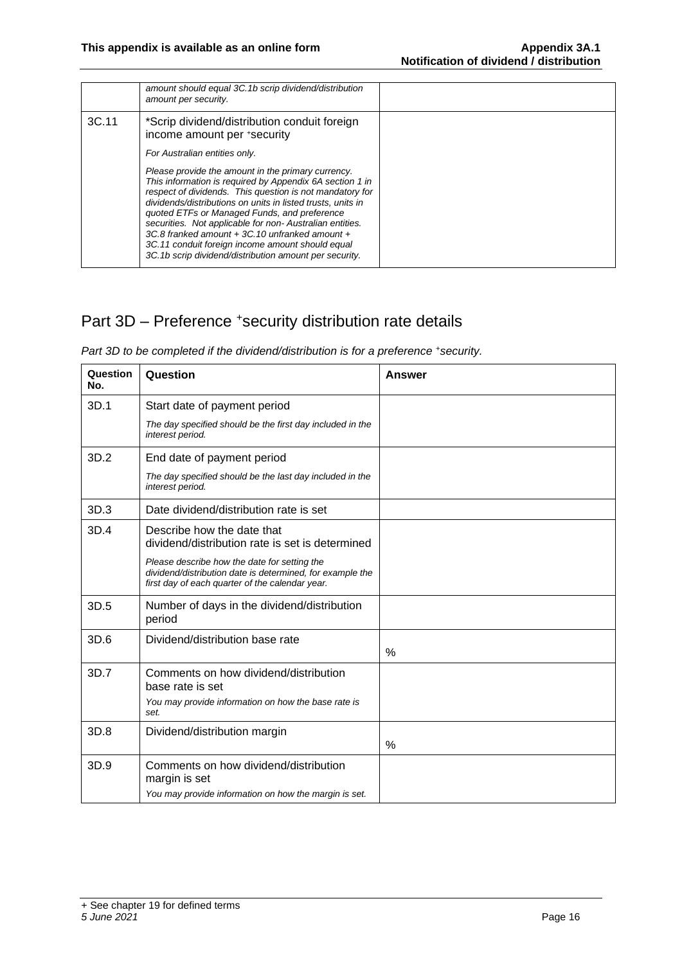|       | amount should equal 3C.1b scrip dividend/distribution<br>amount per security.                                                                                                                                                                                                                                                                                                                                                                                                                                        |  |
|-------|----------------------------------------------------------------------------------------------------------------------------------------------------------------------------------------------------------------------------------------------------------------------------------------------------------------------------------------------------------------------------------------------------------------------------------------------------------------------------------------------------------------------|--|
| 3C.11 | *Scrip dividend/distribution conduit foreign<br>income amount per *security                                                                                                                                                                                                                                                                                                                                                                                                                                          |  |
|       | For Australian entities only.                                                                                                                                                                                                                                                                                                                                                                                                                                                                                        |  |
|       | Please provide the amount in the primary currency.<br>This information is required by Appendix 6A section 1 in<br>respect of dividends. This question is not mandatory for<br>dividends/distributions on units in listed trusts, units in<br>quoted ETFs or Managed Funds, and preference<br>securities. Not applicable for non-Australian entities.<br>3C.8 franked amount + 3C.10 unfranked amount +<br>3C.11 conduit foreign income amount should equal<br>3C.1b scrip dividend/distribution amount per security. |  |

## Part 3D - Preference +security distribution rate details

*Part 3D to be completed if the dividend/distribution is for a preference + security.* 

| Question<br>No. | Question                                                                                                                                                     | Answer |
|-----------------|--------------------------------------------------------------------------------------------------------------------------------------------------------------|--------|
| 3D.1            | Start date of payment period                                                                                                                                 |        |
|                 | The day specified should be the first day included in the<br>interest period.                                                                                |        |
| 3D.2            | End date of payment period                                                                                                                                   |        |
|                 | The day specified should be the last day included in the<br>interest period.                                                                                 |        |
| 3D.3            | Date dividend/distribution rate is set                                                                                                                       |        |
| 3D.4            | Describe how the date that<br>dividend/distribution rate is set is determined                                                                                |        |
|                 | Please describe how the date for setting the<br>dividend/distribution date is determined, for example the<br>first day of each quarter of the calendar year. |        |
| 3D.5            | Number of days in the dividend/distribution<br>period                                                                                                        |        |
| 3D.6            | Dividend/distribution base rate                                                                                                                              | %      |
| 3D.7            | Comments on how dividend/distribution<br>base rate is set                                                                                                    |        |
|                 | You may provide information on how the base rate is<br>set.                                                                                                  |        |
| 3D.8            | Dividend/distribution margin                                                                                                                                 |        |
|                 |                                                                                                                                                              | $\%$   |
| 3D.9            | Comments on how dividend/distribution<br>margin is set                                                                                                       |        |
|                 | You may provide information on how the margin is set.                                                                                                        |        |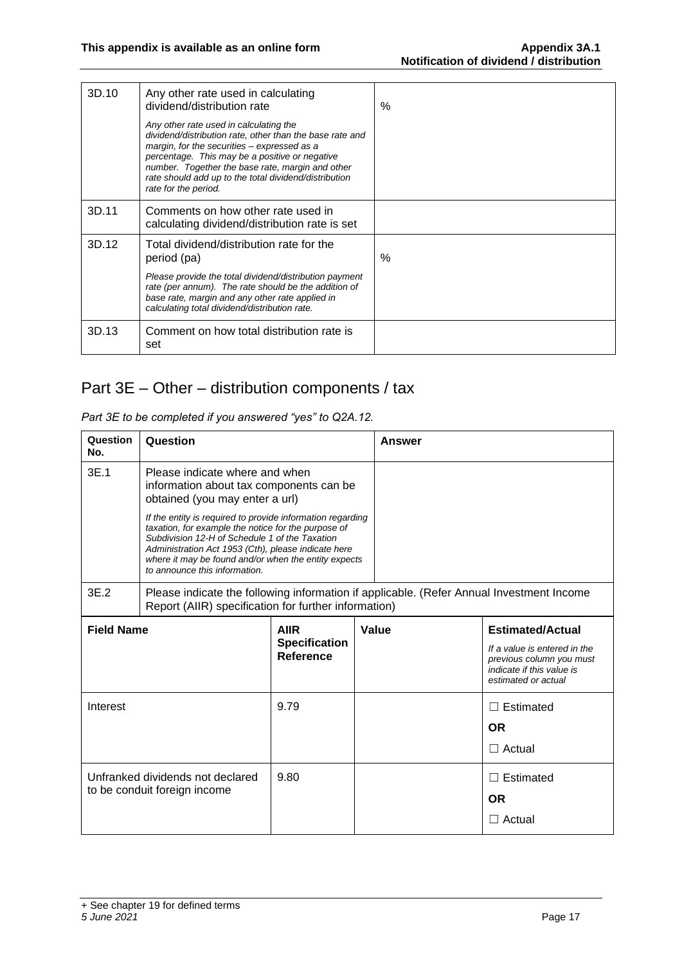| 3D.10 | Any other rate used in calculating<br>dividend/distribution rate                                                                                                                                                                                                                                                                         | $\%$ |
|-------|------------------------------------------------------------------------------------------------------------------------------------------------------------------------------------------------------------------------------------------------------------------------------------------------------------------------------------------|------|
|       | Any other rate used in calculating the<br>dividend/distribution rate, other than the base rate and<br>margin, for the securities - expressed as a<br>percentage. This may be a positive or negative<br>number. Together the base rate, margin and other<br>rate should add up to the total dividend/distribution<br>rate for the period. |      |
| 3D.11 | Comments on how other rate used in<br>calculating dividend/distribution rate is set                                                                                                                                                                                                                                                      |      |
| 3D.12 | Total dividend/distribution rate for the<br>period (pa)                                                                                                                                                                                                                                                                                  | $\%$ |
|       | Please provide the total dividend/distribution payment<br>rate (per annum). The rate should be the addition of<br>base rate, margin and any other rate applied in<br>calculating total dividend/distribution rate.                                                                                                                       |      |
| 3D.13 | Comment on how total distribution rate is<br>set                                                                                                                                                                                                                                                                                         |      |

## Part 3E – Other – distribution components / tax

| Part 3E to be completed if you answered "yes" to Q2A.12. |  |
|----------------------------------------------------------|--|
|----------------------------------------------------------|--|

| Question<br>No.                                                  | Question                                                                                                                                                                                                                                                                                                            |                                                  | Answer |       |                                                                                                                                         |
|------------------------------------------------------------------|---------------------------------------------------------------------------------------------------------------------------------------------------------------------------------------------------------------------------------------------------------------------------------------------------------------------|--------------------------------------------------|--------|-------|-----------------------------------------------------------------------------------------------------------------------------------------|
| 3E.1                                                             | Please indicate where and when<br>information about tax components can be<br>obtained (you may enter a url)                                                                                                                                                                                                         |                                                  |        |       |                                                                                                                                         |
|                                                                  | If the entity is required to provide information regarding<br>taxation, for example the notice for the purpose of<br>Subdivision 12-H of Schedule 1 of the Taxation<br>Administration Act 1953 (Cth), please indicate here<br>where it may be found and/or when the entity expects<br>to announce this information. |                                                  |        |       |                                                                                                                                         |
| 3E.2                                                             | Please indicate the following information if applicable. (Refer Annual Investment Income<br>Report (AIIR) specification for further information)                                                                                                                                                                    |                                                  |        |       |                                                                                                                                         |
| <b>Field Name</b>                                                |                                                                                                                                                                                                                                                                                                                     | <b>AIIR</b><br><b>Specification</b><br>Reference |        | Value | <b>Estimated/Actual</b><br>If a value is entered in the<br>previous column you must<br>indicate if this value is<br>estimated or actual |
| Interest                                                         |                                                                                                                                                                                                                                                                                                                     | 9.79                                             |        |       | $\Box$ Estimated<br><b>OR</b><br>$\Box$ Actual                                                                                          |
| Unfranked dividends not declared<br>to be conduit foreign income |                                                                                                                                                                                                                                                                                                                     | 9.80                                             |        |       | $\Box$ Estimated<br><b>OR</b><br>$\Box$ Actual                                                                                          |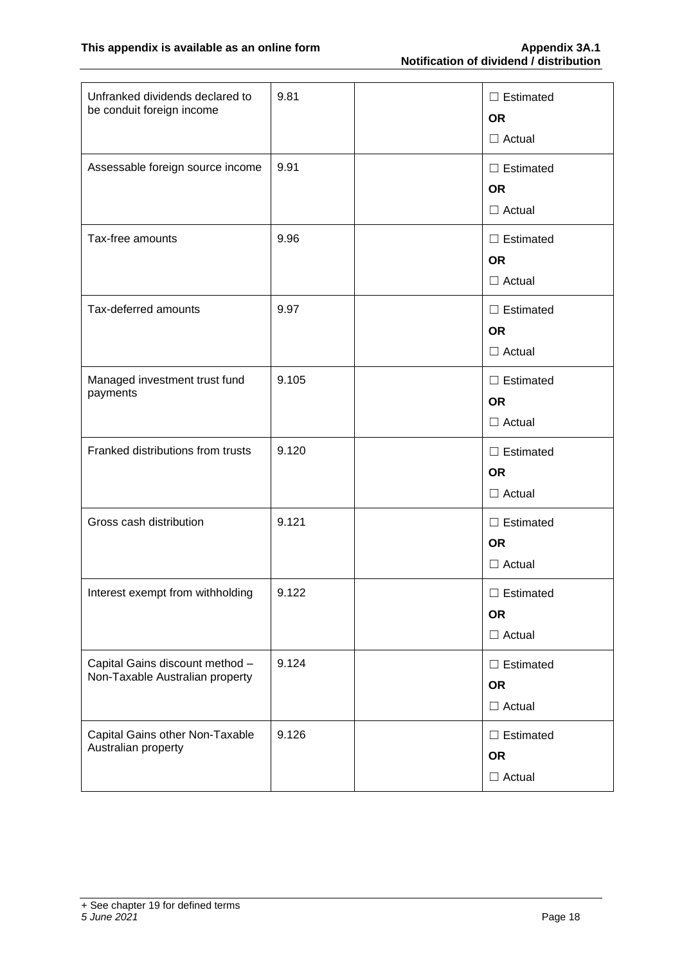| Unfranked dividends declared to<br>be conduit foreign income       | 9.81  | $\Box$ Estimated<br><b>OR</b><br>$\Box$ Actual |
|--------------------------------------------------------------------|-------|------------------------------------------------|
| Assessable foreign source income                                   | 9.91  | $\Box$ Estimated<br><b>OR</b><br>$\Box$ Actual |
| Tax-free amounts                                                   | 9.96  | $\Box$ Estimated<br><b>OR</b><br>$\Box$ Actual |
| Tax-deferred amounts                                               | 9.97  | $\Box$ Estimated<br><b>OR</b><br>$\Box$ Actual |
| Managed investment trust fund<br>payments                          | 9.105 | $\Box$ Estimated<br><b>OR</b><br>$\Box$ Actual |
| Franked distributions from trusts                                  | 9.120 | $\Box$ Estimated<br><b>OR</b><br>$\Box$ Actual |
| Gross cash distribution                                            | 9.121 | $\Box$ Estimated<br><b>OR</b><br>$\Box$ Actual |
| Interest exempt from withholding                                   | 9.122 | $\Box$ Estimated<br><b>OR</b><br>$\Box$ Actual |
| Capital Gains discount method -<br>Non-Taxable Australian property | 9.124 | $\Box$ Estimated<br><b>OR</b><br>$\Box$ Actual |
| Capital Gains other Non-Taxable<br>Australian property             | 9.126 | $\Box$ Estimated<br><b>OR</b><br>$\Box$ Actual |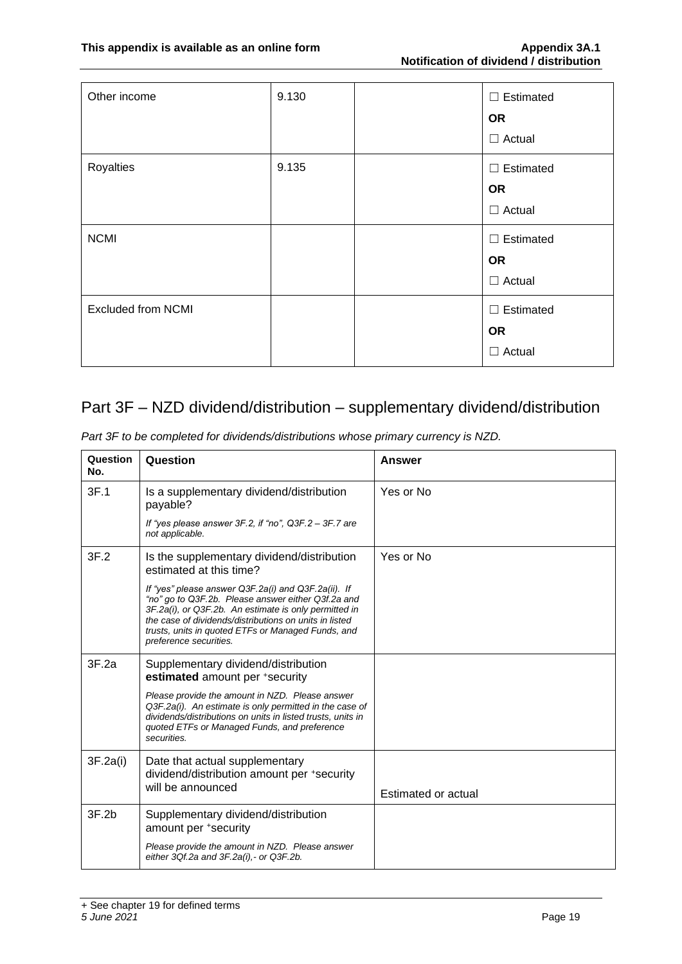| Other income              | 9.130 | $\Box$ Estimated<br><b>OR</b> |
|---------------------------|-------|-------------------------------|
|                           |       | $\Box$ Actual                 |
| Royalties                 | 9.135 | $\Box$ Estimated              |
|                           |       | <b>OR</b>                     |
|                           |       | $\Box$ Actual                 |
| <b>NCMI</b>               |       | $\Box$ Estimated              |
|                           |       | <b>OR</b>                     |
|                           |       | $\Box$ Actual                 |
| <b>Excluded from NCMI</b> |       | $\Box$ Estimated              |
|                           |       | <b>OR</b>                     |
|                           |       | $\Box$ Actual                 |

### Part 3F – NZD dividend/distribution – supplementary dividend/distribution

| Question<br>No. | Question                                                                                                                                                                                                                                                                                                     | <b>Answer</b>       |
|-----------------|--------------------------------------------------------------------------------------------------------------------------------------------------------------------------------------------------------------------------------------------------------------------------------------------------------------|---------------------|
| 3F.1            | Is a supplementary dividend/distribution<br>payable?                                                                                                                                                                                                                                                         | Yes or No           |
|                 | If "yes please answer $3F.2$ , if "no", $Q3F.2 - 3F.7$ are<br>not applicable.                                                                                                                                                                                                                                |                     |
| 3F.2            | Is the supplementary dividend/distribution<br>estimated at this time?                                                                                                                                                                                                                                        | Yes or No           |
|                 | If "yes" please answer Q3F.2a(i) and Q3F.2a(ii). If<br>"no" go to Q3F.2b. Please answer either Q3f.2a and<br>3F.2a(i), or Q3F.2b. An estimate is only permitted in<br>the case of dividends/distributions on units in listed<br>trusts, units in quoted ETFs or Managed Funds, and<br>preference securities. |                     |
| 3F.2a           | Supplementary dividend/distribution<br>estimated amount per +security                                                                                                                                                                                                                                        |                     |
|                 | Please provide the amount in NZD. Please answer<br>Q3F.2a(i). An estimate is only permitted in the case of<br>dividends/distributions on units in listed trusts, units in<br>quoted ETFs or Managed Funds, and preference<br>securities.                                                                     |                     |
| 3F.2a(i)        | Date that actual supplementary<br>dividend/distribution amount per +security<br>will be announced                                                                                                                                                                                                            | Estimated or actual |
| 3F.2b           | Supplementary dividend/distribution<br>amount per +security                                                                                                                                                                                                                                                  |                     |
|                 | Please provide the amount in NZD. Please answer<br>either 3Qf.2a and 3F.2a(i), - or Q3F.2b.                                                                                                                                                                                                                  |                     |

*Part 3F to be completed for dividends/distributions whose primary currency is NZD.*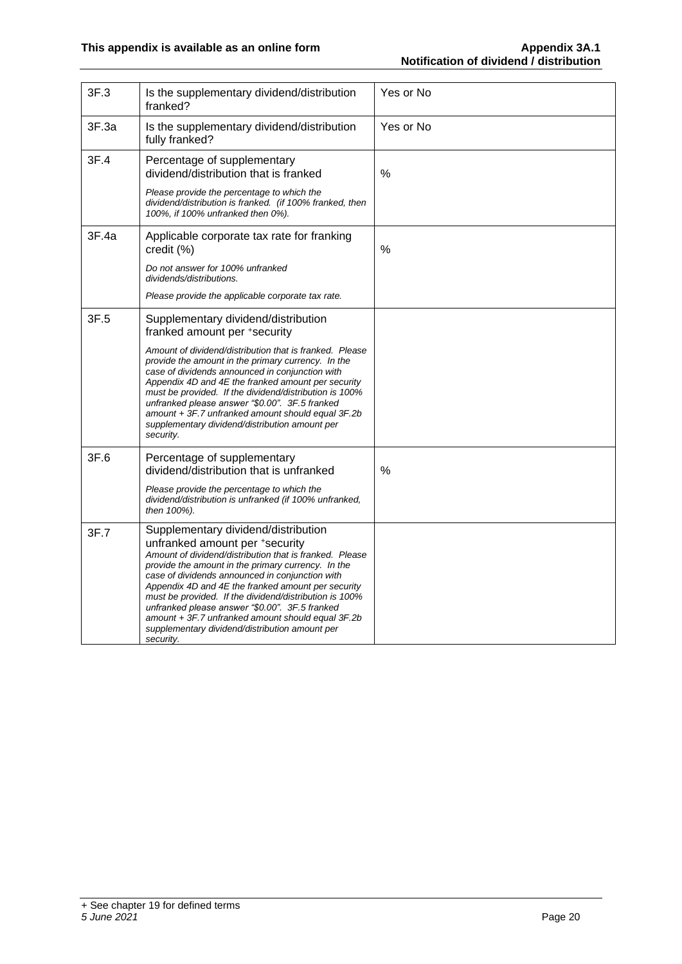| 3F.3  | Is the supplementary dividend/distribution<br>franked?                                                                                                                                                                                                                                                                                                                                                                                                                                                                          | Yes or No |
|-------|---------------------------------------------------------------------------------------------------------------------------------------------------------------------------------------------------------------------------------------------------------------------------------------------------------------------------------------------------------------------------------------------------------------------------------------------------------------------------------------------------------------------------------|-----------|
| 3F.3a | Is the supplementary dividend/distribution<br>fully franked?                                                                                                                                                                                                                                                                                                                                                                                                                                                                    | Yes or No |
| 3F.4  | Percentage of supplementary<br>dividend/distribution that is franked                                                                                                                                                                                                                                                                                                                                                                                                                                                            | $\%$      |
|       | Please provide the percentage to which the<br>dividend/distribution is franked. (if 100% franked, then<br>100%, if 100% unfranked then 0%).                                                                                                                                                                                                                                                                                                                                                                                     |           |
| 3F.4a | Applicable corporate tax rate for franking<br>credit (%)                                                                                                                                                                                                                                                                                                                                                                                                                                                                        | %         |
|       | Do not answer for 100% unfranked<br>dividends/distributions.                                                                                                                                                                                                                                                                                                                                                                                                                                                                    |           |
|       | Please provide the applicable corporate tax rate.                                                                                                                                                                                                                                                                                                                                                                                                                                                                               |           |
| 3F.5  | Supplementary dividend/distribution<br>franked amount per +security                                                                                                                                                                                                                                                                                                                                                                                                                                                             |           |
|       | Amount of dividend/distribution that is franked. Please<br>provide the amount in the primary currency. In the<br>case of dividends announced in conjunction with<br>Appendix 4D and 4E the franked amount per security<br>must be provided. If the dividend/distribution is 100%<br>unfranked please answer "\$0.00". 3F.5 franked<br>amount + 3F.7 unfranked amount should equal 3F.2b<br>supplementary dividend/distribution amount per<br>security.                                                                          |           |
| 3F.6  | Percentage of supplementary<br>dividend/distribution that is unfranked                                                                                                                                                                                                                                                                                                                                                                                                                                                          | %         |
|       | Please provide the percentage to which the<br>dividend/distribution is unfranked (if 100% unfranked,<br>then 100%).                                                                                                                                                                                                                                                                                                                                                                                                             |           |
| 3F.7  | Supplementary dividend/distribution<br>unfranked amount per +security<br>Amount of dividend/distribution that is franked. Please<br>provide the amount in the primary currency. In the<br>case of dividends announced in conjunction with<br>Appendix 4D and 4E the franked amount per security<br>must be provided. If the dividend/distribution is 100%<br>unfranked please answer "\$0.00". 3F.5 franked<br>amount + 3F.7 unfranked amount should equal 3F.2b<br>supplementary dividend/distribution amount per<br>security. |           |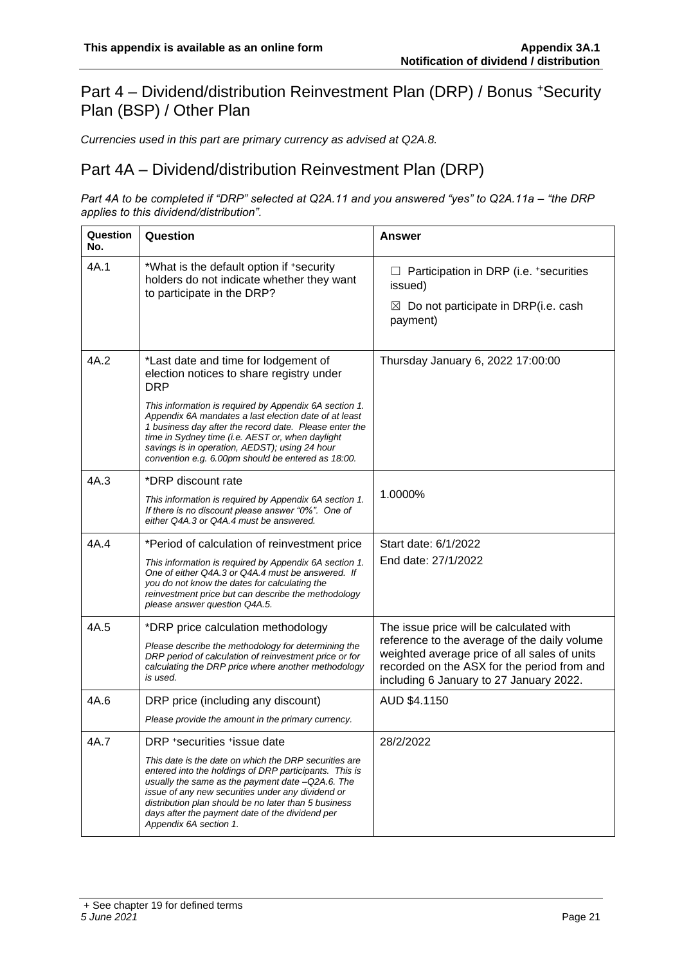#### Part 4 – Dividend/distribution Reinvestment Plan (DRP) / Bonus <sup>+</sup>Security Plan (BSP) / Other Plan

*Currencies used in this part are primary currency as advised at Q2A.8.*

#### Part 4A – Dividend/distribution Reinvestment Plan (DRP)

*Part 4A to be completed if "DRP" selected at Q2A.11 and you answered "yes" to Q2A.11a – "the DRP applies to this dividend/distribution".*

| Question<br>No. | Question                                                                                                                                                                                                                                                                                                                                                                                                                                | Answer                                                                                                                                                                                                                            |
|-----------------|-----------------------------------------------------------------------------------------------------------------------------------------------------------------------------------------------------------------------------------------------------------------------------------------------------------------------------------------------------------------------------------------------------------------------------------------|-----------------------------------------------------------------------------------------------------------------------------------------------------------------------------------------------------------------------------------|
| 4A.1            | *What is the default option if +security<br>holders do not indicate whether they want<br>to participate in the DRP?                                                                                                                                                                                                                                                                                                                     | Participation in DRP (i.e. +securities<br>issued)<br>$\boxtimes$ Do not participate in DRP(i.e. cash<br>payment)                                                                                                                  |
| 4A.2            | *Last date and time for lodgement of<br>election notices to share registry under<br><b>DRP</b><br>This information is required by Appendix 6A section 1.<br>Appendix 6A mandates a last election date of at least<br>1 business day after the record date. Please enter the<br>time in Sydney time (i.e. AEST or, when daylight<br>savings is in operation, AEDST); using 24 hour<br>convention e.g. 6.00pm should be entered as 18:00. | Thursday January 6, 2022 17:00:00                                                                                                                                                                                                 |
| 4A.3            | *DRP discount rate<br>This information is required by Appendix 6A section 1.<br>If there is no discount please answer "0%". One of<br>either Q4A.3 or Q4A.4 must be answered.                                                                                                                                                                                                                                                           | 1.0000%                                                                                                                                                                                                                           |
| 4A.4            | *Period of calculation of reinvestment price<br>This information is required by Appendix 6A section 1.<br>One of either Q4A.3 or Q4A.4 must be answered. If<br>you do not know the dates for calculating the<br>reinvestment price but can describe the methodology<br>please answer question Q4A.5.                                                                                                                                    | Start date: 6/1/2022<br>End date: 27/1/2022                                                                                                                                                                                       |
| 4A.5            | *DRP price calculation methodology<br>Please describe the methodology for determining the<br>DRP period of calculation of reinvestment price or for<br>calculating the DRP price where another methodology<br>is used.                                                                                                                                                                                                                  | The issue price will be calculated with<br>reference to the average of the daily volume<br>weighted average price of all sales of units<br>recorded on the ASX for the period from and<br>including 6 January to 27 January 2022. |
| 4A.6            | DRP price (including any discount)<br>Please provide the amount in the primary currency.                                                                                                                                                                                                                                                                                                                                                | AUD \$4.1150                                                                                                                                                                                                                      |
| 4A.7            | DRP +securities +issue date<br>This date is the date on which the DRP securities are<br>entered into the holdings of DRP participants. This is<br>usually the same as the payment date -Q2A.6. The<br>issue of any new securities under any dividend or<br>distribution plan should be no later than 5 business<br>days after the payment date of the dividend per<br>Appendix 6A section 1.                                            | 28/2/2022                                                                                                                                                                                                                         |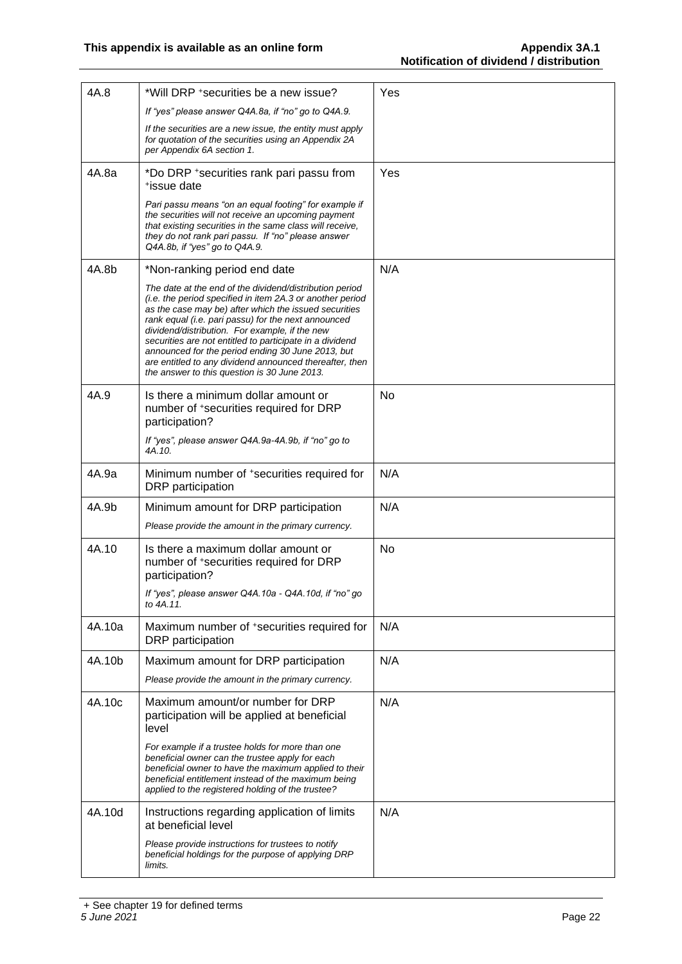| 4A.8   | *Will DRP + securities be a new issue?                                                                                                                                                                                                                                                                                                                                                                                                                                                                             | Yes |
|--------|--------------------------------------------------------------------------------------------------------------------------------------------------------------------------------------------------------------------------------------------------------------------------------------------------------------------------------------------------------------------------------------------------------------------------------------------------------------------------------------------------------------------|-----|
|        | If "yes" please answer Q4A.8a, if "no" go to Q4A.9.                                                                                                                                                                                                                                                                                                                                                                                                                                                                |     |
|        | If the securities are a new issue, the entity must apply<br>for quotation of the securities using an Appendix 2A<br>per Appendix 6A section 1.                                                                                                                                                                                                                                                                                                                                                                     |     |
| 4A.8a  | *Do DRP + securities rank pari passu from<br>*issue date                                                                                                                                                                                                                                                                                                                                                                                                                                                           | Yes |
|        | Pari passu means "on an equal footing" for example if<br>the securities will not receive an upcoming payment<br>that existing securities in the same class will receive,<br>they do not rank pari passu. If "no" please answer<br>Q4A.8b, if "yes" go to Q4A.9.                                                                                                                                                                                                                                                    |     |
| 4A.8b  | *Non-ranking period end date                                                                                                                                                                                                                                                                                                                                                                                                                                                                                       | N/A |
|        | The date at the end of the dividend/distribution period<br>(i.e. the period specified in item 2A.3 or another period<br>as the case may be) after which the issued securities<br>rank equal (i.e. pari passu) for the next announced<br>dividend/distribution. For example, if the new<br>securities are not entitled to participate in a dividend<br>announced for the period ending 30 June 2013, but<br>are entitled to any dividend announced thereafter, then<br>the answer to this question is 30 June 2013. |     |
| 4A.9   | Is there a minimum dollar amount or<br>number of *securities required for DRP<br>participation?                                                                                                                                                                                                                                                                                                                                                                                                                    | No  |
|        | If "yes", please answer Q4A.9a-4A.9b, if "no" go to<br>4A.10.                                                                                                                                                                                                                                                                                                                                                                                                                                                      |     |
| 4A.9a  | Minimum number of *securities required for<br>DRP participation                                                                                                                                                                                                                                                                                                                                                                                                                                                    | N/A |
| 4A.9b  | Minimum amount for DRP participation                                                                                                                                                                                                                                                                                                                                                                                                                                                                               | N/A |
|        | Please provide the amount in the primary currency.                                                                                                                                                                                                                                                                                                                                                                                                                                                                 |     |
| 4A.10  | Is there a maximum dollar amount or<br>number of *securities required for DRP<br>participation?                                                                                                                                                                                                                                                                                                                                                                                                                    | No  |
|        | If "yes", please answer Q4A.10a - Q4A.10d, if "no" go<br>to 4A.11.                                                                                                                                                                                                                                                                                                                                                                                                                                                 |     |
| 4A.10a | Maximum number of *securities required for<br>DRP participation                                                                                                                                                                                                                                                                                                                                                                                                                                                    | N/A |
| 4A.10b | Maximum amount for DRP participation<br>Please provide the amount in the primary currency.                                                                                                                                                                                                                                                                                                                                                                                                                         | N/A |
|        |                                                                                                                                                                                                                                                                                                                                                                                                                                                                                                                    |     |
| 4A.10c | Maximum amount/or number for DRP<br>participation will be applied at beneficial<br>level                                                                                                                                                                                                                                                                                                                                                                                                                           | N/A |
|        | For example if a trustee holds for more than one<br>beneficial owner can the trustee apply for each<br>beneficial owner to have the maximum applied to their<br>beneficial entitlement instead of the maximum being<br>applied to the registered holding of the trustee?                                                                                                                                                                                                                                           |     |
| 4A.10d | Instructions regarding application of limits<br>at beneficial level<br>Please provide instructions for trustees to notify                                                                                                                                                                                                                                                                                                                                                                                          | N/A |
|        | beneficial holdings for the purpose of applying DRP<br>limits.                                                                                                                                                                                                                                                                                                                                                                                                                                                     |     |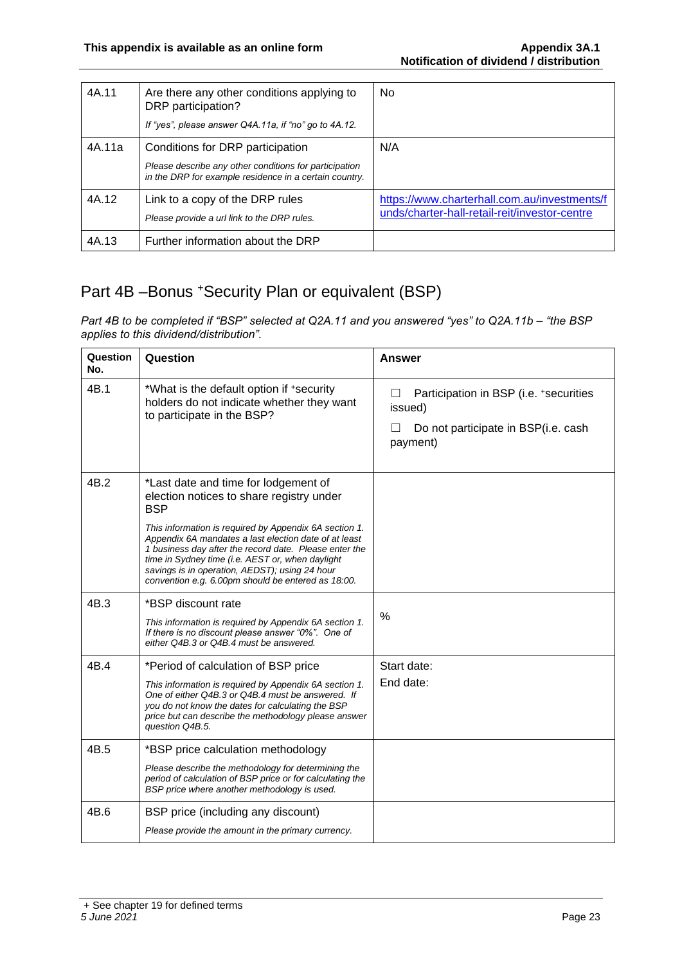| 4A.11  | Are there any other conditions applying to<br>DRP participation?<br>If "yes", please answer Q4A.11a, if "no" go to 4A.12.                            | N <sub>0</sub>                                                                                |
|--------|------------------------------------------------------------------------------------------------------------------------------------------------------|-----------------------------------------------------------------------------------------------|
| 4A.11a | Conditions for DRP participation<br>Please describe any other conditions for participation<br>in the DRP for example residence in a certain country. | N/A                                                                                           |
| 4A.12  | Link to a copy of the DRP rules<br>Please provide a url link to the DRP rules.                                                                       | https://www.charterhall.com.au/investments/f<br>unds/charter-hall-retail-reit/investor-centre |
| 4A.13  | Further information about the DRP                                                                                                                    |                                                                                               |

## Part 4B -Bonus +Security Plan or equivalent (BSP)

*Part 4B to be completed if "BSP" selected at Q2A.11 and you answered "yes" to Q2A.11b – "the BSP applies to this dividend/distribution".*

| Question<br>No. | Question                                                                                                                                                                                                                                                                                                                                                                                                                                | <b>Answer</b>                                                                                                   |
|-----------------|-----------------------------------------------------------------------------------------------------------------------------------------------------------------------------------------------------------------------------------------------------------------------------------------------------------------------------------------------------------------------------------------------------------------------------------------|-----------------------------------------------------------------------------------------------------------------|
| 4B.1            | *What is the default option if +security<br>holders do not indicate whether they want<br>to participate in the BSP?                                                                                                                                                                                                                                                                                                                     | Participation in BSP (i.e. +securities<br>$\perp$<br>issued)<br>Do not participate in BSP(i.e. cash<br>payment) |
| 4B.2            | *Last date and time for lodgement of<br>election notices to share registry under<br><b>BSP</b><br>This information is required by Appendix 6A section 1.<br>Appendix 6A mandates a last election date of at least<br>1 business day after the record date. Please enter the<br>time in Sydney time (i.e. AEST or, when daylight<br>savings is in operation, AEDST); using 24 hour<br>convention e.g. 6.00pm should be entered as 18:00. |                                                                                                                 |
| 4B.3            | *BSP discount rate<br>This information is required by Appendix 6A section 1.<br>If there is no discount please answer "0%". One of<br>either Q4B.3 or Q4B.4 must be answered.                                                                                                                                                                                                                                                           | %                                                                                                               |
| 4B.4            | *Period of calculation of BSP price<br>This information is required by Appendix 6A section 1.<br>One of either Q4B.3 or Q4B.4 must be answered. If<br>you do not know the dates for calculating the BSP<br>price but can describe the methodology please answer<br>question Q4B.5.                                                                                                                                                      | Start date:<br>End date:                                                                                        |
| 4B.5            | *BSP price calculation methodology<br>Please describe the methodology for determining the<br>period of calculation of BSP price or for calculating the<br>BSP price where another methodology is used.                                                                                                                                                                                                                                  |                                                                                                                 |
| 4B.6            | BSP price (including any discount)<br>Please provide the amount in the primary currency.                                                                                                                                                                                                                                                                                                                                                |                                                                                                                 |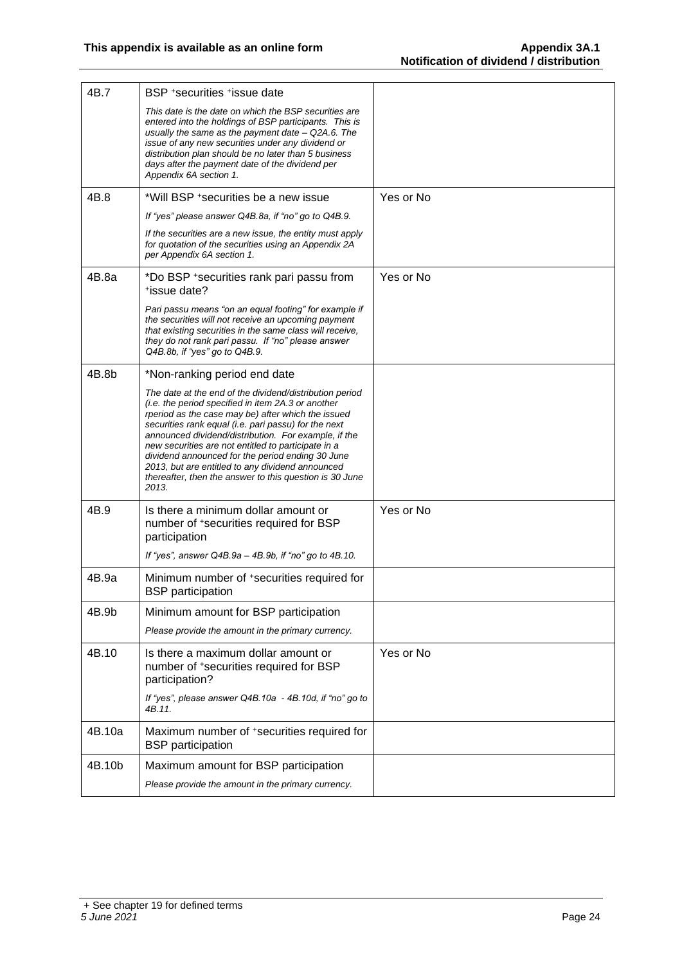| 4B.7   | BSP +securities +issue date                                                                                                                                                                                                                                                                                                                                                                                                                                                                                            |           |
|--------|------------------------------------------------------------------------------------------------------------------------------------------------------------------------------------------------------------------------------------------------------------------------------------------------------------------------------------------------------------------------------------------------------------------------------------------------------------------------------------------------------------------------|-----------|
|        | This date is the date on which the BSP securities are<br>entered into the holdings of BSP participants. This is<br>usually the same as the payment date - Q2A.6. The<br>issue of any new securities under any dividend or<br>distribution plan should be no later than 5 business<br>days after the payment date of the dividend per<br>Appendix 6A section 1.                                                                                                                                                         |           |
| 4B.8   | *Will BSP +securities be a new issue                                                                                                                                                                                                                                                                                                                                                                                                                                                                                   | Yes or No |
|        | If "yes" please answer Q4B.8a, if "no" go to Q4B.9.                                                                                                                                                                                                                                                                                                                                                                                                                                                                    |           |
|        | If the securities are a new issue, the entity must apply<br>for quotation of the securities using an Appendix 2A<br>per Appendix 6A section 1.                                                                                                                                                                                                                                                                                                                                                                         |           |
| 4B.8a  | *Do BSP + securities rank pari passu from<br>*issue date?                                                                                                                                                                                                                                                                                                                                                                                                                                                              | Yes or No |
|        | Pari passu means "on an equal footing" for example if<br>the securities will not receive an upcoming payment<br>that existing securities in the same class will receive,<br>they do not rank pari passu. If "no" please answer<br>Q4B.8b, if "yes" go to Q4B.9.                                                                                                                                                                                                                                                        |           |
| 4B.8b  | *Non-ranking period end date                                                                                                                                                                                                                                                                                                                                                                                                                                                                                           |           |
|        | The date at the end of the dividend/distribution period<br>(i.e. the period specified in item 2A.3 or another<br>rperiod as the case may be) after which the issued<br>securities rank equal (i.e. pari passu) for the next<br>announced dividend/distribution. For example, if the<br>new securities are not entitled to participate in a<br>dividend announced for the period ending 30 June<br>2013, but are entitled to any dividend announced<br>thereafter, then the answer to this question is 30 June<br>2013. |           |
| 4B.9   | Is there a minimum dollar amount or<br>number of *securities required for BSP<br>participation                                                                                                                                                                                                                                                                                                                                                                                                                         | Yes or No |
|        | If "yes", answer $Q4B.9a - 4B.9b$ , if "no" go to $4B.10$ .                                                                                                                                                                                                                                                                                                                                                                                                                                                            |           |
| 4B.9a  | Minimum number of *securities required for<br><b>BSP</b> participation                                                                                                                                                                                                                                                                                                                                                                                                                                                 |           |
| 4B.9b  | Minimum amount for BSP participation                                                                                                                                                                                                                                                                                                                                                                                                                                                                                   |           |
|        | Please provide the amount in the primary currency.                                                                                                                                                                                                                                                                                                                                                                                                                                                                     |           |
| 4B.10  | Is there a maximum dollar amount or<br>number of +securities required for BSP<br>participation?                                                                                                                                                                                                                                                                                                                                                                                                                        | Yes or No |
|        | If "yes", please answer Q4B.10a - 4B.10d, if "no" go to<br>4B.11.                                                                                                                                                                                                                                                                                                                                                                                                                                                      |           |
| 4B.10a | Maximum number of *securities required for<br><b>BSP</b> participation                                                                                                                                                                                                                                                                                                                                                                                                                                                 |           |
| 4B.10b | Maximum amount for BSP participation                                                                                                                                                                                                                                                                                                                                                                                                                                                                                   |           |
|        | Please provide the amount in the primary currency.                                                                                                                                                                                                                                                                                                                                                                                                                                                                     |           |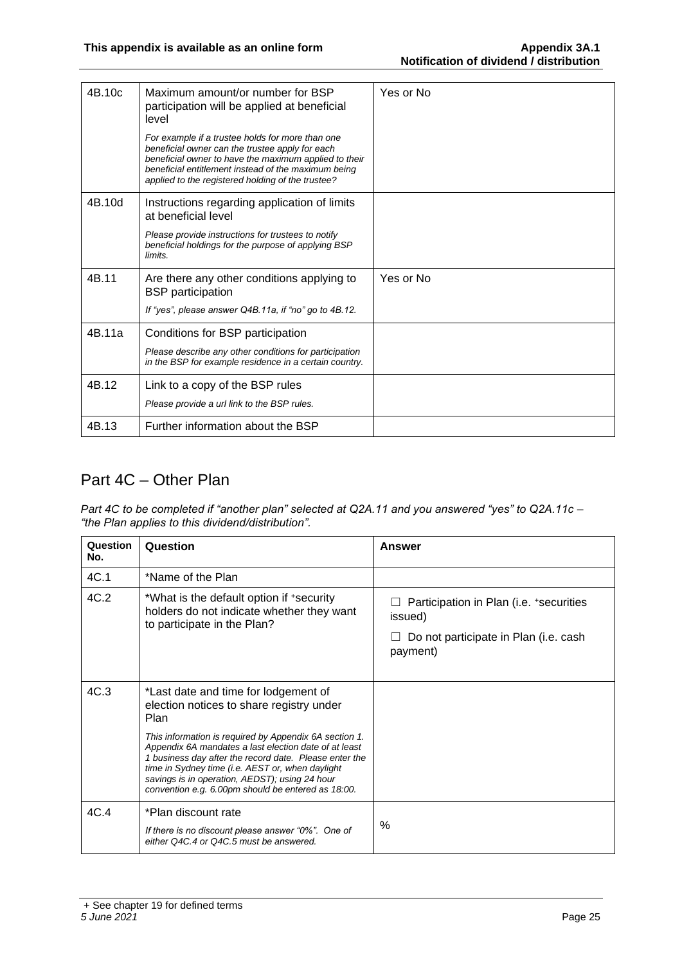| 4B.10c | Maximum amount/or number for BSP<br>participation will be applied at beneficial<br>level                                                                                                                                                                                 | Yes or No |
|--------|--------------------------------------------------------------------------------------------------------------------------------------------------------------------------------------------------------------------------------------------------------------------------|-----------|
|        | For example if a trustee holds for more than one<br>beneficial owner can the trustee apply for each<br>beneficial owner to have the maximum applied to their<br>beneficial entitlement instead of the maximum being<br>applied to the registered holding of the trustee? |           |
| 4B.10d | Instructions regarding application of limits<br>at beneficial level                                                                                                                                                                                                      |           |
|        | Please provide instructions for trustees to notify<br>beneficial holdings for the purpose of applying BSP<br>limits.                                                                                                                                                     |           |
| 4B.11  | Are there any other conditions applying to<br><b>BSP</b> participation                                                                                                                                                                                                   | Yes or No |
|        | If "yes", please answer Q4B.11a, if "no" go to 4B.12.                                                                                                                                                                                                                    |           |
| 4B.11a | Conditions for BSP participation                                                                                                                                                                                                                                         |           |
|        | Please describe any other conditions for participation<br>in the BSP for example residence in a certain country.                                                                                                                                                         |           |
| 4B.12  | Link to a copy of the BSP rules                                                                                                                                                                                                                                          |           |
|        | Please provide a url link to the BSP rules.                                                                                                                                                                                                                              |           |
| 4B.13  | Further information about the BSP                                                                                                                                                                                                                                        |           |

#### Part 4C – Other Plan

*Part 4C to be completed if "another plan" selected at Q2A.11 and you answered "yes" to Q2A.11c – "the Plan applies to this dividend/distribution".*

| Question<br>No. | Question                                                                                                                                                                                                                                                                    | <b>Answer</b>                                                                                           |
|-----------------|-----------------------------------------------------------------------------------------------------------------------------------------------------------------------------------------------------------------------------------------------------------------------------|---------------------------------------------------------------------------------------------------------|
| 4C.1            | *Name of the Plan                                                                                                                                                                                                                                                           |                                                                                                         |
| 4C.2            | *What is the default option if +security<br>holders do not indicate whether they want<br>to participate in the Plan?                                                                                                                                                        | Participation in Plan (i.e. +securities<br>issued)<br>Do not participate in Plan (i.e. cash<br>payment) |
| 4C.3            | *Last date and time for lodgement of<br>election notices to share registry under<br>Plan<br>This information is required by Appendix 6A section 1.                                                                                                                          |                                                                                                         |
|                 | Appendix 6A mandates a last election date of at least<br>1 business day after the record date. Please enter the<br>time in Sydney time (i.e. AEST or, when daylight<br>savings is in operation, AEDST); using 24 hour<br>convention e.g. 6.00pm should be entered as 18:00. |                                                                                                         |
| 4C.4            | *Plan discount rate<br>If there is no discount please answer "0%". One of<br>either Q4C.4 or Q4C.5 must be answered.                                                                                                                                                        | $\%$                                                                                                    |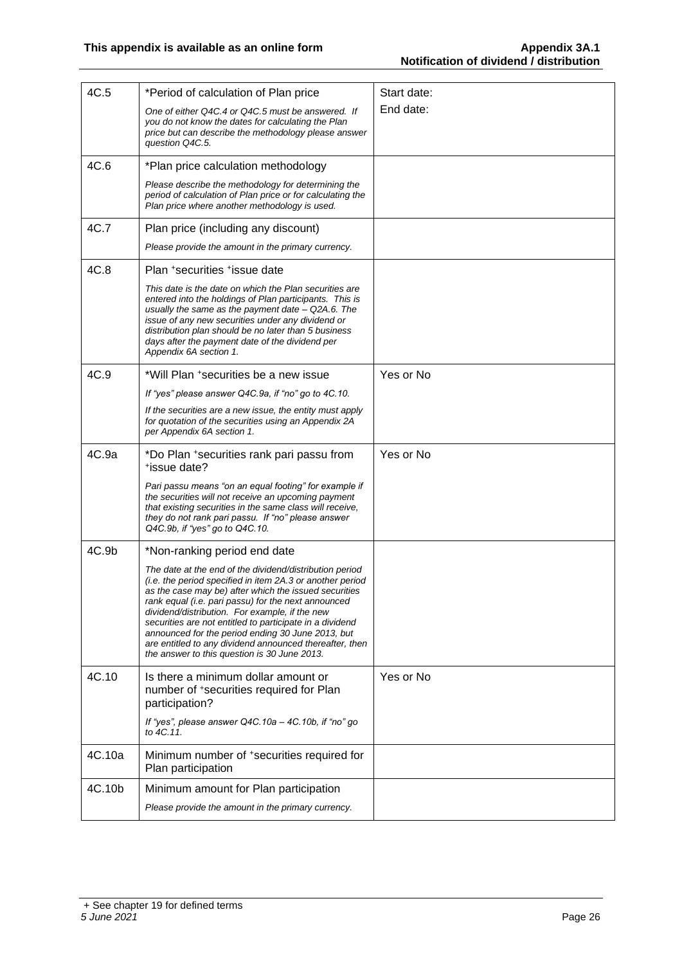| 4C.5   | *Period of calculation of Plan price                                                                                                                                                                                                                                                                                                                                                                                                                                                                               | Start date: |
|--------|--------------------------------------------------------------------------------------------------------------------------------------------------------------------------------------------------------------------------------------------------------------------------------------------------------------------------------------------------------------------------------------------------------------------------------------------------------------------------------------------------------------------|-------------|
|        | One of either Q4C.4 or Q4C.5 must be answered. If<br>you do not know the dates for calculating the Plan<br>price but can describe the methodology please answer<br>question Q4C.5.                                                                                                                                                                                                                                                                                                                                 | End date:   |
| 4C.6   | *Plan price calculation methodology                                                                                                                                                                                                                                                                                                                                                                                                                                                                                |             |
|        | Please describe the methodology for determining the<br>period of calculation of Plan price or for calculating the<br>Plan price where another methodology is used.                                                                                                                                                                                                                                                                                                                                                 |             |
| 4C.7   | Plan price (including any discount)                                                                                                                                                                                                                                                                                                                                                                                                                                                                                |             |
|        | Please provide the amount in the primary currency.                                                                                                                                                                                                                                                                                                                                                                                                                                                                 |             |
| 4C.8   | Plan *securities *issue date                                                                                                                                                                                                                                                                                                                                                                                                                                                                                       |             |
|        | This date is the date on which the Plan securities are<br>entered into the holdings of Plan participants. This is<br>usually the same as the payment date $-$ Q2A.6. The<br>issue of any new securities under any dividend or<br>distribution plan should be no later than 5 business<br>days after the payment date of the dividend per<br>Appendix 6A section 1.                                                                                                                                                 |             |
| 4C.9   | *Will Plan +securities be a new issue                                                                                                                                                                                                                                                                                                                                                                                                                                                                              | Yes or No   |
|        | If "yes" please answer Q4C.9a, if "no" go to 4C.10.                                                                                                                                                                                                                                                                                                                                                                                                                                                                |             |
|        | If the securities are a new issue, the entity must apply<br>for quotation of the securities using an Appendix 2A<br>per Appendix 6A section 1.                                                                                                                                                                                                                                                                                                                                                                     |             |
| 4C.9a  | *Do Plan +securities rank pari passu from<br>*issue date?                                                                                                                                                                                                                                                                                                                                                                                                                                                          | Yes or No   |
|        | Pari passu means "on an equal footing" for example if<br>the securities will not receive an upcoming payment<br>that existing securities in the same class will receive,<br>they do not rank pari passu. If "no" please answer<br>Q4C.9b, if "yes" go to Q4C.10.                                                                                                                                                                                                                                                   |             |
| 4C.9b  | *Non-ranking period end date                                                                                                                                                                                                                                                                                                                                                                                                                                                                                       |             |
|        | The date at the end of the dividend/distribution period<br>(i.e. the period specified in item 2A.3 or another period<br>as the case may be) after which the issued securities<br>rank equal (i.e. pari passu) for the next announced<br>dividend/distribution. For example, if the new<br>securities are not entitled to participate in a dividend<br>announced for the period ending 30 June 2013, but<br>are entitled to any dividend announced thereafter, then<br>the answer to this question is 30 June 2013. |             |
| 4C.10  | Is there a minimum dollar amount or<br>number of +securities required for Plan<br>participation?                                                                                                                                                                                                                                                                                                                                                                                                                   | Yes or No   |
|        | If "yes", please answer Q4C.10a - 4C.10b, if "no" go<br>to 4C.11.                                                                                                                                                                                                                                                                                                                                                                                                                                                  |             |
| 4C.10a | Minimum number of *securities required for<br>Plan participation                                                                                                                                                                                                                                                                                                                                                                                                                                                   |             |
| 4C.10b | Minimum amount for Plan participation                                                                                                                                                                                                                                                                                                                                                                                                                                                                              |             |
|        | Please provide the amount in the primary currency.                                                                                                                                                                                                                                                                                                                                                                                                                                                                 |             |